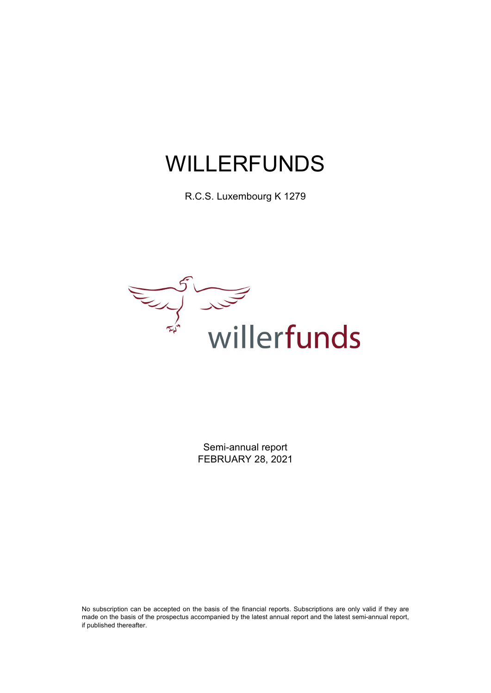R.C.S. Luxembourg K 1279



Semi-annual report FEBRUARY 28, 2021

No subscription can be accepted on the basis of the financial reports. Subscriptions are only valid if they are made on the basis of the prospectus accompanied by the latest annual report and the latest semi-annual report, if published thereafter.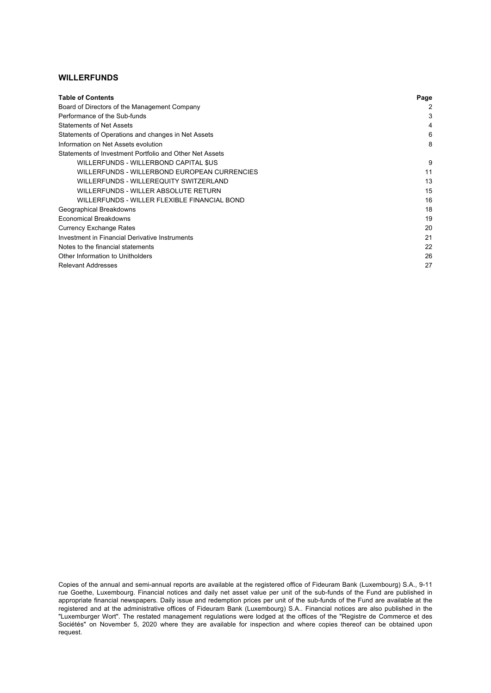| <b>Table of Contents</b>                                | Page |
|---------------------------------------------------------|------|
| Board of Directors of the Management Company            | 2    |
| Performance of the Sub-funds                            | 3    |
| <b>Statements of Net Assets</b>                         | 4    |
| Statements of Operations and changes in Net Assets      | 6    |
| Information on Net Assets evolution                     | 8    |
| Statements of Investment Portfolio and Other Net Assets |      |
| WILLERFUNDS - WILLERBOND CAPITAL \$US                   | 9    |
| WILLERFUNDS - WILLERBOND EUROPEAN CURRENCIES            | 11   |
| WILLERFUNDS - WILLEREQUITY SWITZERLAND                  | 13   |
| WILLERFUNDS - WILLER ABSOLUTE RETURN                    | 15   |
| WILLERFUNDS - WILLER FLEXIBLE FINANCIAL BOND            | 16   |
| Geographical Breakdowns                                 | 18   |
| <b>Economical Breakdowns</b>                            | 19   |
| <b>Currency Exchange Rates</b>                          | 20   |
| Investment in Financial Derivative Instruments          | 21   |
| Notes to the financial statements                       | 22   |
| Other Information to Unitholders                        | 26   |
| <b>Relevant Addresses</b>                               | 27   |

Copies of the annual and semi-annual reports are available at the registered office of Fideuram Bank (Luxembourg) S.A., 9-11 rue Goethe, Luxembourg. Financial notices and daily net asset value per unit of the sub-funds of the Fund are published in appropriate financial newspapers. Daily issue and redemption prices per unit of the sub-funds of the Fund are available at the registered and at the administrative offices of Fideuram Bank (Luxembourg) S.A.. Financial notices are also published in the "Luxemburger Wort". The restated management regulations were lodged at the offices of the "Registre de Commerce et des Sociétés" on November 5, 2020 where they are available for inspection and where copies thereof can be obtained upon request.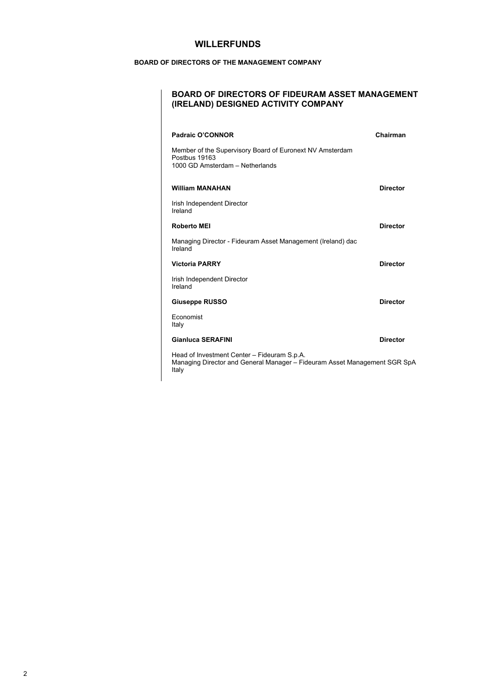### **BOARD OF DIRECTORS OF THE MANAGEMENT COMPANY**

### **BOARD OF DIRECTORS OF FIDEURAM ASSET MANAGEMENT (IRELAND) DESIGNED ACTIVITY COMPANY**

| Padraic O'CONNOR                                                                                                                  | Chairman        |
|-----------------------------------------------------------------------------------------------------------------------------------|-----------------|
| Member of the Supervisory Board of Euronext NV Amsterdam<br>Postbus 19163<br>1000 GD Amsterdam - Netherlands                      |                 |
| <b>William MANAHAN</b>                                                                                                            | <b>Director</b> |
| Irish Independent Director<br>Ireland                                                                                             |                 |
| <b>Roberto MEI</b>                                                                                                                | <b>Director</b> |
| Managing Director - Fideuram Asset Management (Ireland) dac<br>Ireland                                                            |                 |
| <b>Victoria PARRY</b>                                                                                                             | <b>Director</b> |
| Irish Independent Director<br>Ireland                                                                                             |                 |
| <b>Giuseppe RUSSO</b>                                                                                                             | <b>Director</b> |
| Economist<br>Italy                                                                                                                |                 |
| <b>Gianluca SERAFINI</b>                                                                                                          | <b>Director</b> |
| Head of Investment Center - Fideuram S.p.A.<br>Managing Director and General Manager – Fideuram Asset Management SGR SpA<br>Italy |                 |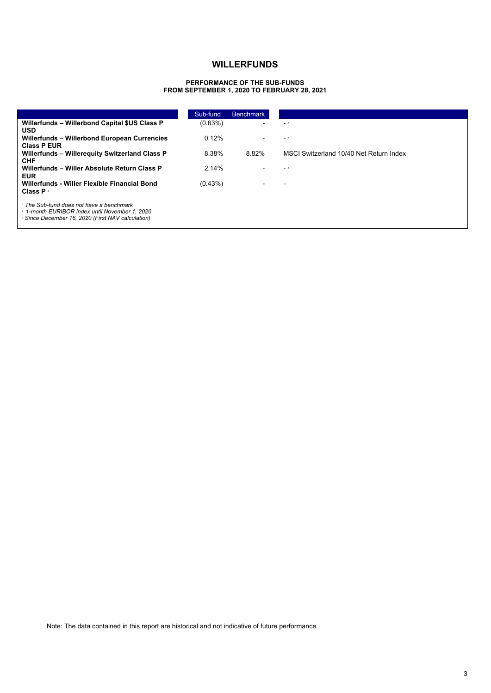#### **PERFORMANCE OF THE SUB-FUNDS FROM SEPTEMBER 1, 2020 TO FEBRUARY 28, 2021**

|                                                                    | Sub-fund   | <b>Benchmark</b>         |                                         |
|--------------------------------------------------------------------|------------|--------------------------|-----------------------------------------|
| Willerfunds - Willerbond Capital \$US Class P                      | $(0.63\%)$ |                          | $-1$                                    |
| <b>USD</b>                                                         | 0.12%      |                          |                                         |
| Willerfunds - Willerbond European Currencies<br><b>Class P EUR</b> |            |                          | $-1$                                    |
| Willerfunds - Willerequity Switzerland Class P                     | 8.38%      | 8.82%                    | MSCI Switzerland 10/40 Net Return Index |
| <b>CHF</b>                                                         |            |                          |                                         |
| Willerfunds - Willer Absolute Return Class P<br><b>EUR</b>         | 2.14%      |                          | $-2$                                    |
| Willerfunds - Willer Flexible Financial Bond                       | $(0.43\%)$ | $\overline{\phantom{a}}$ |                                         |
| <b>Class P</b>                                                     |            |                          |                                         |
| <sup>1</sup> The Sub-fund does not have a benchmark                |            |                          |                                         |
| <sup>2</sup> 1-month EURIBOR index until November 1, 2020          |            |                          |                                         |
| <sup>3</sup> Since December 16, 2020 (First NAV calculation)       |            |                          |                                         |

Note: The data contained in this report are historical and not indicative of future performance.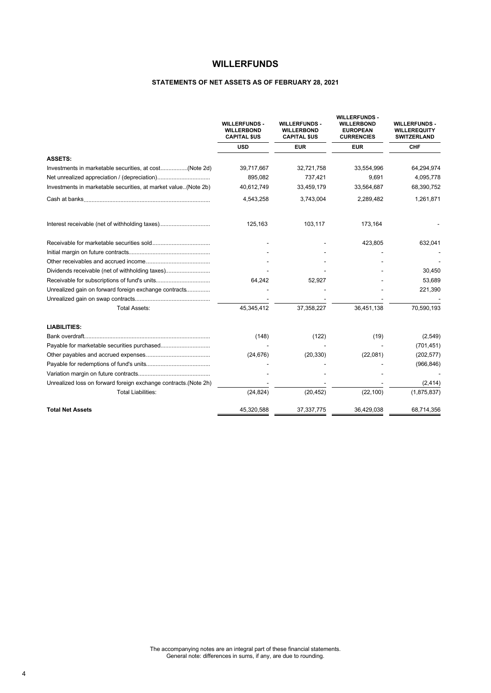### **STATEMENTS OF NET ASSETS AS OF FEBRUARY 28, 2021**

|                                                                 | <b>WILLERFUNDS -</b><br><b>WILLERBOND</b><br><b>CAPITAL \$US</b> | <b>WILLERFUNDS -</b><br><b>WILLERBOND</b><br><b>CAPITAL \$US</b> | <b>WILLERFUNDS -</b><br><b>WILLERBOND</b><br><b>EUROPEAN</b><br><b>CURRENCIES</b> | <b>WILLERFUNDS -</b><br><b>WILLEREQUITY</b><br><b>SWITZERLAND</b> |
|-----------------------------------------------------------------|------------------------------------------------------------------|------------------------------------------------------------------|-----------------------------------------------------------------------------------|-------------------------------------------------------------------|
|                                                                 | <b>USD</b>                                                       | <b>EUR</b>                                                       | <b>EUR</b>                                                                        | CHF                                                               |
| <b>ASSETS:</b>                                                  |                                                                  |                                                                  |                                                                                   |                                                                   |
| Investments in marketable securities, at cost(Note 2d)          | 39,717,667                                                       | 32,721,758                                                       | 33,554,996                                                                        | 64,294,974                                                        |
|                                                                 | 895,082                                                          | 737,421                                                          | 9,691                                                                             | 4,095,778                                                         |
| Investments in marketable securities, at market value(Note 2b)  | 40,612,749                                                       | 33,459,179                                                       | 33,564,687                                                                        | 68,390,752                                                        |
|                                                                 | 4,543,258                                                        | 3,743,004                                                        | 2,289,482                                                                         | 1,261,871                                                         |
| Interest receivable (net of withholding taxes)                  | 125,163                                                          | 103,117                                                          | 173,164                                                                           |                                                                   |
|                                                                 |                                                                  |                                                                  | 423,805                                                                           | 632,041                                                           |
|                                                                 |                                                                  |                                                                  |                                                                                   |                                                                   |
|                                                                 |                                                                  |                                                                  |                                                                                   |                                                                   |
| Dividends receivable (net of withholding taxes)                 |                                                                  |                                                                  |                                                                                   | 30,450                                                            |
|                                                                 | 64,242                                                           | 52,927                                                           |                                                                                   | 53,689                                                            |
| Unrealized gain on forward foreign exchange contracts           |                                                                  |                                                                  |                                                                                   | 221,390                                                           |
|                                                                 |                                                                  |                                                                  |                                                                                   |                                                                   |
| <b>Total Assets:</b>                                            | 45,345,412                                                       | 37,358,227                                                       | 36,451,138                                                                        | 70,590,193                                                        |
| <b>LIABILITIES:</b>                                             |                                                                  |                                                                  |                                                                                   |                                                                   |
|                                                                 | (148)                                                            | (122)                                                            | (19)                                                                              | (2, 549)                                                          |
|                                                                 |                                                                  |                                                                  |                                                                                   | (701, 451)                                                        |
|                                                                 | (24, 676)                                                        | (20, 330)                                                        | (22,081)                                                                          | (202, 577)                                                        |
|                                                                 |                                                                  |                                                                  |                                                                                   | (966, 846)                                                        |
|                                                                 |                                                                  |                                                                  |                                                                                   |                                                                   |
| Unrealized loss on forward foreign exchange contracts.(Note 2h) |                                                                  |                                                                  |                                                                                   | (2, 414)                                                          |
| <b>Total Liabilities:</b>                                       | (24, 824)                                                        | (20, 452)                                                        | (22, 100)                                                                         | (1,875,837)                                                       |
| <b>Total Net Assets</b>                                         | 45,320,588                                                       | 37, 337, 775                                                     | 36,429,038                                                                        | 68,714,356                                                        |
|                                                                 |                                                                  |                                                                  |                                                                                   |                                                                   |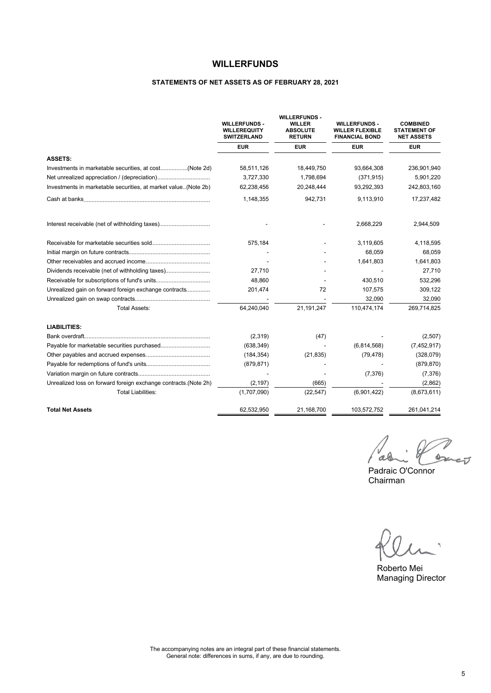### **STATEMENTS OF NET ASSETS AS OF FEBRUARY 28, 2021**

|                                                                 | <b>WILLERFUNDS -</b><br><b>WILLEREQUITY</b><br><b>SWITZERLAND</b> | <b>WILLERFUNDS -</b><br><b>WILLER</b><br><b>ABSOLUTE</b><br><b>RETURN</b> | <b>WILLERFUNDS -</b><br><b>WILLER FLEXIBLE</b><br><b>FINANCIAL BOND</b> | <b>COMBINED</b><br><b>STATEMENT OF</b><br><b>NET ASSETS</b> |
|-----------------------------------------------------------------|-------------------------------------------------------------------|---------------------------------------------------------------------------|-------------------------------------------------------------------------|-------------------------------------------------------------|
|                                                                 | <b>EUR</b>                                                        | <b>EUR</b>                                                                | <b>EUR</b>                                                              | <b>EUR</b>                                                  |
| <b>ASSETS:</b>                                                  |                                                                   |                                                                           |                                                                         |                                                             |
|                                                                 | 58,511,126                                                        | 18,449,750                                                                | 93.664.308                                                              | 236,901,940                                                 |
|                                                                 | 3,727,330                                                         | 1,798,694                                                                 | (371, 915)                                                              | 5,901,220                                                   |
| Investments in marketable securities, at market value(Note 2b)  | 62,238,456                                                        | 20,248,444                                                                | 93,292,393                                                              | 242,803,160                                                 |
|                                                                 | 1,148,355                                                         | 942,731                                                                   | 9,113,910                                                               | 17,237,482                                                  |
| Interest receivable (net of withholding taxes)                  |                                                                   |                                                                           | 2,668,229                                                               | 2,944,509                                                   |
|                                                                 | 575,184                                                           |                                                                           | 3,119,605                                                               | 4,118,595                                                   |
|                                                                 |                                                                   |                                                                           | 68,059                                                                  | 68,059                                                      |
|                                                                 |                                                                   |                                                                           | 1,641,803                                                               | 1,641,803                                                   |
| Dividends receivable (net of withholding taxes)                 | 27,710                                                            |                                                                           |                                                                         | 27,710                                                      |
|                                                                 | 48,860                                                            |                                                                           | 430,510                                                                 | 532,296                                                     |
| Unrealized gain on forward foreign exchange contracts           | 201,474                                                           | 72                                                                        | 107,575                                                                 | 309,122                                                     |
|                                                                 |                                                                   |                                                                           | 32.090                                                                  | 32,090                                                      |
| <b>Total Assets:</b>                                            | 64,240,040                                                        | 21,191,247                                                                | 110,474,174                                                             | 269,714,825                                                 |
| <b>LIABILITIES:</b>                                             |                                                                   |                                                                           |                                                                         |                                                             |
|                                                                 | (2,319)                                                           | (47)                                                                      |                                                                         | (2,507)                                                     |
|                                                                 | (638, 349)                                                        |                                                                           | (6,814,568)                                                             | (7,452,917)                                                 |
|                                                                 | (184, 354)                                                        | (21, 835)                                                                 | (79, 478)                                                               | (328,079)                                                   |
|                                                                 | (879, 871)                                                        |                                                                           |                                                                         | (879, 870)                                                  |
|                                                                 |                                                                   |                                                                           | (7, 376)                                                                | (7, 376)                                                    |
| Unrealized loss on forward foreign exchange contracts.(Note 2h) | (2, 197)                                                          | (665)                                                                     |                                                                         | (2,862)                                                     |
| <b>Total Liabilities:</b>                                       | (1,707,090)                                                       | (22, 547)                                                                 | (6,901,422)                                                             | (8,673,611)                                                 |
| <b>Total Net Assets</b>                                         | 62,532,950                                                        | 21,168,700                                                                | 103,572,752                                                             | 261,041,214                                                 |

banco ao

Padraic O'Connor Chairman

Roberto Mei Managing Director

The accompanying notes are an integral part of these financial statements. General note: differences in sums, if any, are due to rounding.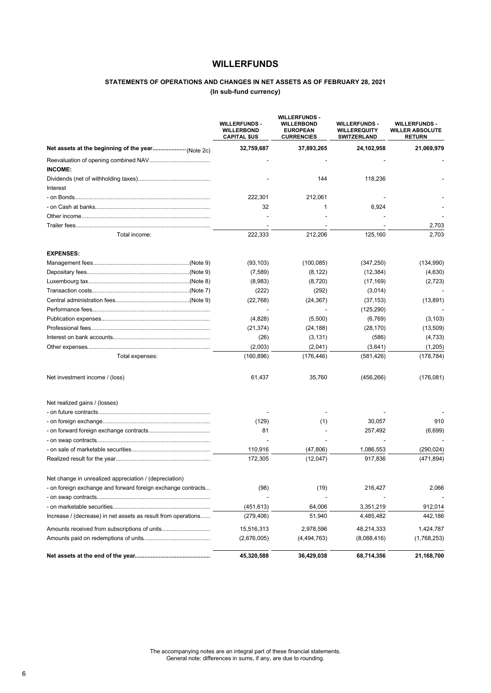### **STATEMENTS OF OPERATIONS AND CHANGES IN NET ASSETS AS OF FEBRUARY 28, 2021 (In sub-fund currency)**

|                                                               | <b>WILLERFUNDS -</b><br><b>WILLERBOND</b><br><b>CAPITAL \$US</b> | <b>WILLERFUNDS -</b><br><b>WILLERBOND</b><br><b>EUROPEAN</b><br><b>CURRENCIES</b> | <b>WILLERFUNDS -</b><br><b>WILLEREQUITY</b><br><b>SWITZERLAND</b> | <b>WILLERFUNDS -</b><br><b>WILLER ABSOLUTE</b><br><b>RETURN</b> |
|---------------------------------------------------------------|------------------------------------------------------------------|-----------------------------------------------------------------------------------|-------------------------------------------------------------------|-----------------------------------------------------------------|
|                                                               | 32,759,687                                                       | 37,893,265                                                                        | 24,102,958                                                        | 21,069,979                                                      |
|                                                               |                                                                  |                                                                                   |                                                                   |                                                                 |
| <b>INCOME:</b>                                                |                                                                  |                                                                                   |                                                                   |                                                                 |
|                                                               |                                                                  | 144                                                                               | 118,236                                                           |                                                                 |
| Interest                                                      |                                                                  |                                                                                   |                                                                   |                                                                 |
|                                                               | 222,301                                                          | 212,061                                                                           |                                                                   |                                                                 |
|                                                               | 32                                                               | 1                                                                                 | 6,924                                                             |                                                                 |
|                                                               |                                                                  |                                                                                   |                                                                   |                                                                 |
|                                                               |                                                                  |                                                                                   |                                                                   | 2,703                                                           |
| Total income:                                                 | 222,333                                                          | 212,206                                                                           | 125,160                                                           | 2,703                                                           |
| <b>EXPENSES:</b>                                              |                                                                  |                                                                                   |                                                                   |                                                                 |
|                                                               | (93, 103)                                                        | (100, 085)                                                                        | (347, 250)                                                        | (134, 990)                                                      |
|                                                               | (7,589)                                                          | (8, 122)                                                                          | (12, 384)                                                         | (4,630)                                                         |
|                                                               | (8,983)                                                          | (8,720)                                                                           | (17, 169)                                                         | (2,723)                                                         |
|                                                               | (222)                                                            | (292)                                                                             | (3,014)                                                           |                                                                 |
|                                                               | (22, 768)                                                        | (24, 367)                                                                         | (37, 153)                                                         | (13, 891)                                                       |
|                                                               |                                                                  |                                                                                   | (125, 290)                                                        |                                                                 |
|                                                               | (4,828)                                                          | (5,500)                                                                           | (6,769)                                                           | (3, 103)                                                        |
|                                                               | (21, 374)                                                        | (24, 188)                                                                         | (28, 170)                                                         | (13, 509)                                                       |
|                                                               | (26)                                                             | (3, 131)                                                                          | (586)                                                             | (4,733)                                                         |
|                                                               | (2,003)                                                          | (2,041)                                                                           | (3,641)                                                           | (1,205)                                                         |
| Total expenses:                                               | (160, 896)                                                       | (176, 446)                                                                        | (581, 426)                                                        | (178, 784)                                                      |
| Net investment income / (loss)                                | 61,437                                                           | 35,760                                                                            | (456, 266)                                                        | (176,081)                                                       |
| Net realized gains / (losses)                                 |                                                                  |                                                                                   |                                                                   |                                                                 |
|                                                               |                                                                  |                                                                                   |                                                                   |                                                                 |
|                                                               | (129)                                                            | (1)                                                                               | 30,057                                                            | 910                                                             |
|                                                               | 81                                                               |                                                                                   | 257,492                                                           | (6,699)                                                         |
|                                                               |                                                                  |                                                                                   |                                                                   |                                                                 |
|                                                               | 110,916                                                          | (47, 806)                                                                         | 1,086,553                                                         | (290, 024)                                                      |
|                                                               | 172,305                                                          | (12,047)                                                                          | 917,836                                                           | (471, 894)                                                      |
| Net change in unrealized appreciation / (depreciation)        |                                                                  |                                                                                   |                                                                   |                                                                 |
| - on foreign exchange and forward foreign exchange contracts  | (98)                                                             | (19)                                                                              | 216,427                                                           | 2,066                                                           |
|                                                               |                                                                  |                                                                                   |                                                                   |                                                                 |
|                                                               | (451, 613)                                                       | 64,006                                                                            | 3,351,219                                                         | 912,014                                                         |
| Increase / (decrease) in net assets as result from operations | (279, 406)                                                       | 51,940                                                                            | 4,485,482                                                         | 442,186                                                         |
|                                                               | 15,516,313                                                       | 2,978,596                                                                         | 48,214,333                                                        | 1,424,787                                                       |
|                                                               | (2,676,005)                                                      | (4,494,763)                                                                       | (8,088,416)                                                       | (1,768,253)                                                     |
|                                                               | 45,320,588                                                       | 36,429,038                                                                        | 68,714,356                                                        | 21,168,700                                                      |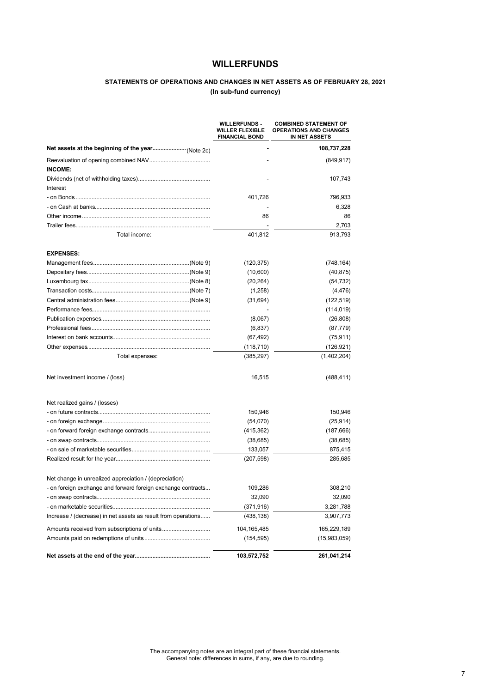### **STATEMENTS OF OPERATIONS AND CHANGES IN NET ASSETS AS OF FEBRUARY 28, 2021 (In sub-fund currency)**

|                                                               | <b>WILLERFUNDS -</b><br><b>WILLER FLEXIBLE</b><br><b>FINANCIAL BOND</b> | <b>COMBINED STATEMENT OF</b><br><b>OPERATIONS AND CHANGES</b><br>IN NET ASSETS |
|---------------------------------------------------------------|-------------------------------------------------------------------------|--------------------------------------------------------------------------------|
|                                                               |                                                                         | 108,737,228                                                                    |
|                                                               |                                                                         | (849, 917)                                                                     |
| INCOME:                                                       |                                                                         |                                                                                |
|                                                               |                                                                         | 107,743                                                                        |
| Interest                                                      |                                                                         |                                                                                |
|                                                               | 401,726                                                                 | 796,933                                                                        |
|                                                               |                                                                         | 6,328                                                                          |
|                                                               | 86                                                                      | 86                                                                             |
|                                                               |                                                                         | 2,703                                                                          |
| Total income:                                                 | 401,812                                                                 | 913,793                                                                        |
| <b>EXPENSES:</b>                                              |                                                                         |                                                                                |
|                                                               | (120, 375)                                                              | (748, 164)                                                                     |
|                                                               | (10,600)                                                                | (40, 875)                                                                      |
|                                                               | (20, 264)                                                               | (54, 732)                                                                      |
|                                                               | (1,258)                                                                 | (4, 476)                                                                       |
|                                                               | (31, 694)                                                               | (122, 519)                                                                     |
|                                                               |                                                                         | (114, 019)                                                                     |
|                                                               | (8,067)                                                                 | (26, 808)                                                                      |
|                                                               | (6, 837)                                                                | (87, 779)                                                                      |
|                                                               | (67, 492)                                                               | (75, 911)                                                                      |
|                                                               | (118, 710)                                                              | (126, 921)                                                                     |
| Total expenses:                                               | (385, 297)                                                              | (1,402,204)                                                                    |
| Net investment income / (loss)                                | 16,515                                                                  | (488, 411)                                                                     |
| Net realized gains / (losses)                                 |                                                                         |                                                                                |
|                                                               | 150,946                                                                 | 150,946                                                                        |
|                                                               | (54,070)                                                                | (25, 914)                                                                      |
|                                                               | (415, 362)                                                              | (187, 666)                                                                     |
|                                                               | (38, 685)                                                               | (38, 685)                                                                      |
|                                                               | 133,057                                                                 | 875,415                                                                        |
|                                                               | (207, 598)                                                              | 285,685                                                                        |
| Net change in unrealized appreciation / (depreciation)        |                                                                         |                                                                                |
| - on foreign exchange and forward foreign exchange contracts  | 109.286                                                                 | 308,210                                                                        |
|                                                               | 32,090                                                                  | 32,090                                                                         |
|                                                               | (371, 916)                                                              | 3,281,788                                                                      |
| Increase / (decrease) in net assets as result from operations | (438, 138)                                                              | 3,907,773                                                                      |
|                                                               | 104, 165, 485                                                           | 165,229,189                                                                    |
|                                                               | (154, 595)                                                              | (15,983,059)                                                                   |
|                                                               | 103,572,752                                                             | 261,041,214                                                                    |

The accompanying notes are an integral part of these financial statements. General note: differences in sums, if any, are due to rounding.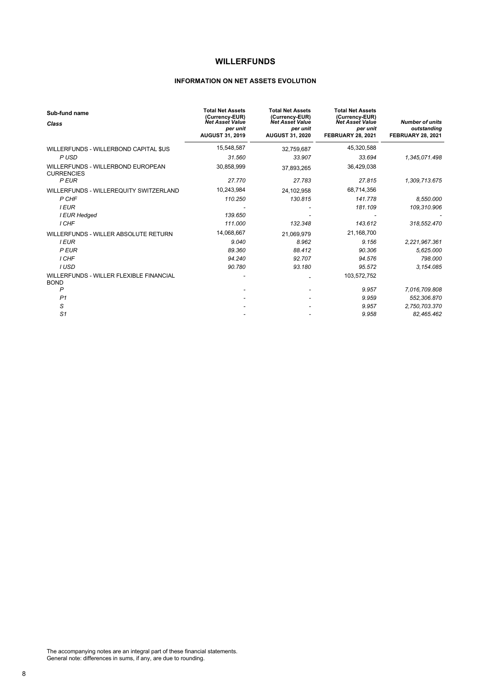### **INFORMATION ON NET ASSETS EVOLUTION**

| Sub-fund name<br>Class                                 | <b>Total Net Assets</b><br>(Currency-EUR)<br>Net Asset Value<br>per unit<br><b>AUGUST 31, 2019</b> | <b>Total Net Assets</b><br>(Currency-EUR)<br>Net Asset Value<br>per unit<br><b>AUGUST 31, 2020</b> | <b>Total Net Assets</b><br>(Currency-EUR)<br>Net Asset Value<br>per unit<br><b>FEBRUARY 28, 2021</b> | <b>Number of units</b><br>outstanding<br><b>FEBRUARY 28, 2021</b> |
|--------------------------------------------------------|----------------------------------------------------------------------------------------------------|----------------------------------------------------------------------------------------------------|------------------------------------------------------------------------------------------------------|-------------------------------------------------------------------|
| WILLERFUNDS - WILLERBOND CAPITAL \$US                  | 15,548,587                                                                                         | 32,759,687                                                                                         | 45,320,588                                                                                           |                                                                   |
| P USD                                                  | 31.560                                                                                             | 33.907                                                                                             | 33.694                                                                                               | 1,345,071.498                                                     |
| WILLERFUNDS - WILLERBOND EUROPEAN<br><b>CURRENCIES</b> | 30,858,999                                                                                         | 37,893,265                                                                                         | 36,429,038                                                                                           |                                                                   |
| P EUR                                                  | 27.770                                                                                             | 27.783                                                                                             | 27.815                                                                                               | 1,309,713.675                                                     |
| WILLERFUNDS - WILLEREQUITY SWITZERLAND                 | 10,243,984                                                                                         | 24,102,958                                                                                         | 68,714,356                                                                                           |                                                                   |
| P CHF                                                  | 110.250                                                                                            | 130.815                                                                                            | 141.778                                                                                              | 8,550.000                                                         |
| <b>I EUR</b>                                           |                                                                                                    |                                                                                                    | 181.109                                                                                              | 109,310.906                                                       |
| I EUR Hedged                                           | 139.650                                                                                            |                                                                                                    |                                                                                                      |                                                                   |
| I CHF                                                  | 111.000                                                                                            | 132.348                                                                                            | 143.612                                                                                              | 318.552.470                                                       |
| WILLERFUNDS - WILLER ABSOLUTE RETURN                   | 14,068,667                                                                                         | 21.069.979                                                                                         | 21,168,700                                                                                           |                                                                   |
| <b>I EUR</b>                                           | 9.040                                                                                              | 8.962                                                                                              | 9.156                                                                                                | 2,221,967.361                                                     |
| <b>PEUR</b>                                            | 89.360                                                                                             | 88.412                                                                                             | 90.306                                                                                               | 5,625.000                                                         |
| I CHF                                                  | 94.240                                                                                             | 92.707                                                                                             | 94.576                                                                                               | 798.000                                                           |
| I USD                                                  | 90.780                                                                                             | 93.180                                                                                             | 95.572                                                                                               | 3.154.085                                                         |
| WILLERFUNDS - WILLER FLEXIBLE FINANCIAL<br><b>BOND</b> |                                                                                                    |                                                                                                    | 103,572,752                                                                                          |                                                                   |
| P                                                      |                                                                                                    |                                                                                                    | 9.957                                                                                                | 7,016,709.808                                                     |
| P <sub>1</sub>                                         |                                                                                                    |                                                                                                    | 9.959                                                                                                | 552,306.870                                                       |
| S                                                      |                                                                                                    |                                                                                                    | 9.957                                                                                                | 2,750,703.370                                                     |
| S <sub>1</sub>                                         |                                                                                                    |                                                                                                    | 9.958                                                                                                | 82,465.462                                                        |

The accompanying notes are an integral part of these financial statements. General note: differences in sums, if any, are due to rounding.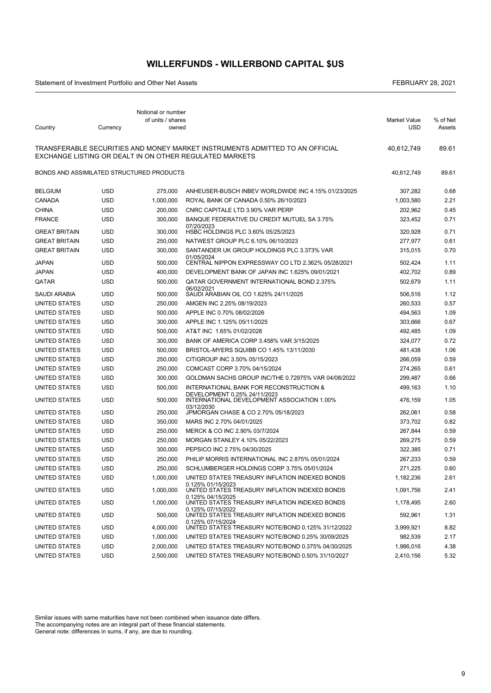### **WILLERFUNDS - WILLERBOND CAPITAL \$US**

Statement of Investment Portfolio and Other Net Assets FEBRUARY 28, 2021

| Country                                   | Currency   | Notional or number<br>of units / shares<br>owned |                                                                                                                                         | <b>Market Value</b><br><b>USD</b> | % of Net<br>Assets |
|-------------------------------------------|------------|--------------------------------------------------|-----------------------------------------------------------------------------------------------------------------------------------------|-----------------------------------|--------------------|
|                                           |            |                                                  |                                                                                                                                         |                                   |                    |
|                                           |            |                                                  | TRANSFERABLE SECURITIES AND MONEY MARKET INSTRUMENTS ADMITTED TO AN OFFICIAL<br>EXCHANGE LISTING OR DEALT IN ON OTHER REGULATED MARKETS | 40,612,749                        | 89.61              |
| BONDS AND ASSIMILATED STRUCTURED PRODUCTS |            |                                                  |                                                                                                                                         | 40,612,749                        | 89.61              |
| <b>BELGIUM</b>                            | <b>USD</b> | 275,000                                          | ANHEUSER-BUSCH INBEV WORLDWIDE INC 4.15% 01/23/2025                                                                                     | 307,282                           | 0.68               |
| <b>CANADA</b>                             | USD        | 1,000,000                                        | ROYAL BANK OF CANADA 0.50% 26/10/2023                                                                                                   | 1,003,580                         | 2.21               |
| <b>CHINA</b>                              | <b>USD</b> | 200.000                                          | CNRC CAPITALE LTD 3.90% VAR PERP                                                                                                        | 202,962                           | 0.45               |
| <b>FRANCE</b>                             | USD        | 300,000                                          | BANQUE FEDERATIVE DU CREDIT MUTUEL SA 3.75%<br>07/20/2023                                                                               | 323.452                           | 0.71               |
| <b>GREAT BRITAIN</b>                      | <b>USD</b> | 300,000                                          | HSBC HOLDINGS PLC 3.60% 05/25/2023                                                                                                      | 320,928                           | 0.71               |
| <b>GREAT BRITAIN</b>                      | <b>USD</b> | 250,000                                          | NATWEST GROUP PLC 6.10% 06/10/2023                                                                                                      | 277,977                           | 0.61               |
| <b>GREAT BRITAIN</b>                      | <b>USD</b> | 300,000                                          | SANTANDER UK GROUP HOLDINGS PLC 3.373% VAR                                                                                              | 315,015                           | 0.70               |
| <b>JAPAN</b>                              | <b>USD</b> | 500,000                                          | 01/05/2024<br>CENTRAL NIPPON EXPRESSWAY CO LTD 2.362% 05/28/2021                                                                        | 502,424                           | 1.11               |
| <b>JAPAN</b>                              | <b>USD</b> | 400,000                                          | DEVELOPMENT BANK OF JAPAN INC 1.625% 09/01/2021                                                                                         | 402.702                           | 0.89               |
| QATAR                                     | <b>USD</b> | 500,000                                          | <b>QATAR GOVERNMENT INTERNATIONAL BOND 2.375%</b>                                                                                       | 502,679                           | 1.11               |
| SAUDI ARABIA                              | <b>USD</b> | 500,000                                          | 06/02/2021<br>SAUDI ARABIAN OIL CO 1.625% 24/11/2025                                                                                    | 506,516                           | 1.12               |
| UNITED STATES                             | USD        | 250,000                                          | AMGEN INC 2.25% 08/19/2023                                                                                                              | 260,533                           | 0.57               |
| UNITED STATES                             | USD        | 500,000                                          | APPLE INC 0.70% 08/02/2026                                                                                                              | 494,563                           | 1.09               |
| UNITED STATES                             | <b>USD</b> | 300,000                                          | APPLE INC 1.125% 05/11/2025                                                                                                             | 303,666                           | 0.67               |
| UNITED STATES                             | <b>USD</b> | 500,000                                          | AT&T INC 1.65% 01/02/2028                                                                                                               | 492,485                           | 1.09               |
| UNITED STATES                             | <b>USD</b> | 300,000                                          | BANK OF AMERICA CORP 3.458% VAR 3/15/2025                                                                                               | 324,077                           | 0.72               |
| UNITED STATES                             | <b>USD</b> | 500,000                                          | BRISTOL-MYERS SQUIBB CO 1.45% 13/11/2030                                                                                                | 481,438                           | 1.06               |
| UNITED STATES                             | <b>USD</b> | 250,000                                          | CITIGROUP INC 3.50% 05/15/2023                                                                                                          | 266,059                           | 0.59               |
| UNITED STATES                             | <b>USD</b> | 250,000                                          | COMCAST CORP 3.70% 04/15/2024                                                                                                           | 274,265                           | 0.61               |
| UNITED STATES                             | <b>USD</b> | 300,000                                          | GOLDMAN SACHS GROUP INC/THE 0.72975% VAR 04/08/2022                                                                                     | 299,487                           | 0.66               |
| UNITED STATES                             | USD        | 500,000                                          | INTERNATIONAL BANK FOR RECONSTRUCTION &                                                                                                 | 499,163                           | 1.10               |
| UNITED STATES                             | <b>USD</b> | 500,000                                          | DEVELOPMENT 0.25% 24/11/2023<br>INTERNATIONAL DEVELOPMENT ASSOCIATION 1.00%<br>03/12/2030                                               | 476,159                           | 1.05               |
| UNITED STATES                             | <b>USD</b> | 250,000                                          | JPMORGAN CHASE & CO 2.70% 05/18/2023                                                                                                    | 262,061                           | 0.58               |
| UNITED STATES                             | USD        | 350,000                                          | MARS INC 2.70% 04/01/2025                                                                                                               | 373,702                           | 0.82               |
| UNITED STATES                             | USD        | 250,000                                          | MERCK & CO INC 2.90% 03/7/2024                                                                                                          | 267,844                           | 0.59               |
| <b>UNITED STATES</b>                      | <b>USD</b> | 250,000                                          | MORGAN STANLEY 4.10% 05/22/2023                                                                                                         | 269,275                           | 0.59               |
| UNITED STATES                             | <b>USD</b> | 300,000                                          | PEPSICO INC 2.75% 04/30/2025                                                                                                            | 322,385                           | 0.71               |
| UNITED STATES                             | <b>USD</b> | 250,000                                          | PHILIP MORRIS INTERNATIONAL INC 2.875% 05/01/2024                                                                                       | 267,233                           | 0.59               |
| UNITED STATES                             | USD        | 250,000                                          | SCHLUMBERGER HOLDINGS CORP 3.75% 05/01/2024                                                                                             | 271,225                           | 0.60               |
| <b>UNITED STATES</b>                      | <b>USD</b> | 1,000,000                                        | UNITED STATES TREASURY INFLATION INDEXED BONDS                                                                                          | 1,182,236                         | 2.61               |
| UNITED STATES                             | <b>USD</b> | 1,000,000                                        | 0.125% 01/15/2023<br>UNITED STATES TREASURY INFLATION INDEXED BONDS<br>0.125% 04/15/2025                                                | 1,091,756                         | 2.41               |
| UNITED STATES                             | <b>USD</b> | 1,000,000                                        | UNITED STATES TREASURY INFLATION INDEXED BONDS                                                                                          | 1,178,495                         | 2.60               |
| UNITED STATES                             | <b>USD</b> | 500,000                                          | 0.125% 07/15/2022<br>UNITED STATES TREASURY INFLATION INDEXED BONDS                                                                     | 592,961                           | 1.31               |
| UNITED STATES                             | <b>USD</b> | 4,000,000                                        | 0.125% 07/15/2024<br>UNITED STATES TREASURY NOTE/BOND 0.125% 31/12/2022                                                                 | 3,999,921                         | 8.82               |
| UNITED STATES                             | <b>USD</b> | 1,000,000                                        | UNITED STATES TREASURY NOTE/BOND 0.25% 30/09/2025                                                                                       | 982,539                           | 2.17               |
| UNITED STATES                             | <b>USD</b> | 2,000,000                                        | UNITED STATES TREASURY NOTE/BOND 0.375% 04/30/2025                                                                                      | 1,986,016                         | 4.38               |
| UNITED STATES                             | <b>USD</b> | 2,500,000                                        | UNITED STATES TREASURY NOTE/BOND 0.50% 31/10/2027                                                                                       | 2,410,156                         | 5.32               |

Similar issues with same maturities have not been combined when issuance date differs. The accompanying notes are an integral part of these financial statements.

General note: differences in sums, if any, are due to rounding.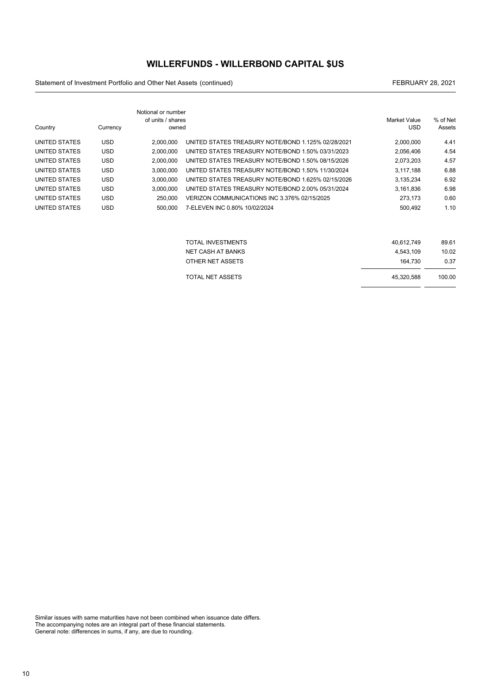### **WILLERFUNDS - WILLERBOND CAPITAL \$US**

Statement of Investment Portfolio and Other Net Assets (continued) and the continued continued and continued and the continued of the continued of the continued of the continued of the continued of the continued of the con

- -

|               |            | Notional or number<br>of units / shares |                                                    | Market Value | % of Net |
|---------------|------------|-----------------------------------------|----------------------------------------------------|--------------|----------|
| Country       | Currency   | owned                                   |                                                    | <b>USD</b>   | Assets   |
| UNITED STATES | <b>USD</b> | 2,000,000                               | UNITED STATES TREASURY NOTE/BOND 1.125% 02/28/2021 | 2,000,000    | 4.41     |
| UNITED STATES | <b>USD</b> | 2,000,000                               | UNITED STATES TREASURY NOTE/BOND 1.50% 03/31/2023  | 2,056,406    | 4.54     |
| UNITED STATES | <b>USD</b> | 2,000,000                               | UNITED STATES TREASURY NOTE/BOND 1.50% 08/15/2026  | 2,073,203    | 4.57     |
| UNITED STATES | <b>USD</b> | 3.000.000                               | UNITED STATES TREASURY NOTE/BOND 1.50% 11/30/2024  | 3,117,188    | 6.88     |
| UNITED STATES | <b>USD</b> | 3,000,000                               | UNITED STATES TREASURY NOTE/BOND 1.625% 02/15/2026 | 3,135,234    | 6.92     |
| UNITED STATES | <b>USD</b> | 3,000,000                               | UNITED STATES TREASURY NOTE/BOND 2.00% 05/31/2024  | 3,161,836    | 6.98     |
| UNITED STATES | <b>USD</b> | 250,000                                 | VERIZON COMMUNICATIONS INC 3.376% 02/15/2025       | 273,173      | 0.60     |
| UNITED STATES | <b>USD</b> | 500.000                                 | 7-ELEVEN INC 0.80% 10/02/2024                      | 500,492      | 1.10     |
|               |            |                                         |                                                    |              |          |
|               |            |                                         | <b>TOTAL INVESTMENTS</b>                           | 40,612,749   | 89.61    |
|               |            |                                         | <b>NET CASH AT BANKS</b>                           | 4,543,109    | 10.02    |
|               |            |                                         | OTHER NET ASSETS                                   | 164,730      | 0.37     |
|               |            |                                         | <b>TOTAL NET ASSETS</b>                            | 45,320,588   | 100.00   |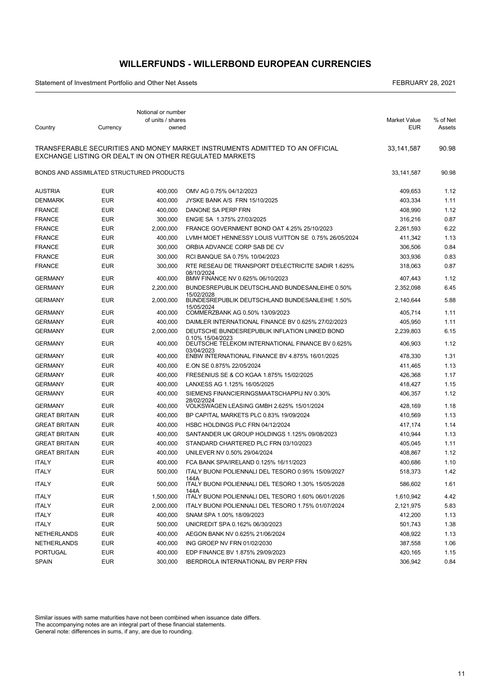### **WILLERFUNDS - WILLERBOND EUROPEAN CURRENCIES**

Statement of Investment Portfolio and Other Net Assets FEBRUARY 28, 2021

|                                           |            | Notional or number<br>of units / shares |                                                                                                                                         | <b>Market Value</b> | % of Net |
|-------------------------------------------|------------|-----------------------------------------|-----------------------------------------------------------------------------------------------------------------------------------------|---------------------|----------|
| Country                                   | Currency   | owned                                   |                                                                                                                                         | <b>EUR</b>          | Assets   |
|                                           |            |                                         | TRANSFERABLE SECURITIES AND MONEY MARKET INSTRUMENTS ADMITTED TO AN OFFICIAL<br>EXCHANGE LISTING OR DEALT IN ON OTHER REGULATED MARKETS | 33,141,587          | 90.98    |
| BONDS AND ASSIMILATED STRUCTURED PRODUCTS |            |                                         |                                                                                                                                         | 33,141,587          | 90.98    |
| <b>AUSTRIA</b>                            | <b>EUR</b> | 400,000                                 | OMV AG 0.75% 04/12/2023                                                                                                                 | 409,653             | 1.12     |
| <b>DENMARK</b>                            | <b>EUR</b> | 400,000                                 | JYSKE BANK A/S FRN 15/10/2025                                                                                                           | 403,334             | 1.11     |
| <b>FRANCE</b>                             | <b>EUR</b> | 400,000                                 | DANONE SA PERP FRN                                                                                                                      | 408,990             | 1.12     |
| <b>FRANCE</b>                             | <b>EUR</b> | 300,000                                 | ENGIE SA 1.375% 27/03/2025                                                                                                              | 316,216             | 0.87     |
| <b>FRANCE</b>                             | <b>EUR</b> | 2,000,000                               | FRANCE GOVERNMENT BOND OAT 4.25% 25/10/2023                                                                                             | 2,261,593           | 6.22     |
| <b>FRANCE</b>                             | <b>EUR</b> | 400,000                                 | LVMH MOET HENNESSY LOUIS VUITTON SE 0.75% 26/05/2024                                                                                    | 411,342             | 1.13     |
| <b>FRANCE</b>                             | <b>EUR</b> | 300,000                                 | ORBIA ADVANCE CORP SAB DE CV                                                                                                            | 306,506             | 0.84     |
| <b>FRANCE</b>                             | <b>EUR</b> | 300,000                                 | RCI BANQUE SA 0.75% 10/04/2023                                                                                                          | 303,936             | 0.83     |
| <b>FRANCE</b>                             | <b>EUR</b> | 300,000                                 | RTE RESEAU DE TRANSPORT D'ELECTRICITE SADIR 1.625%                                                                                      | 318,063             | 0.87     |
| <b>GERMANY</b>                            | <b>EUR</b> | 400,000                                 | 08/10/2024<br>BMW FINANCE NV 0.625% 06/10/2023                                                                                          | 407,443             | 1.12     |
| <b>GERMANY</b>                            | <b>EUR</b> | 2,200,000                               | BUNDESREPUBLIK DEUTSCHLAND BUNDESANLEIHE 0.50%                                                                                          | 2,352,098           | 6.45     |
| <b>GERMANY</b>                            | <b>EUR</b> | 2,000,000                               | 15/02/2028<br>BUNDESREPUBLIK DEUTSCHLAND BUNDESANLEIHE 1.50%                                                                            | 2,140,644           | 5.88     |
| <b>GERMANY</b>                            | <b>EUR</b> | 400.000                                 | 15/05/2024<br>COMMERZBANK AG 0.50% 13/09/2023                                                                                           | 405.714             | 1.11     |
| <b>GERMANY</b>                            | <b>EUR</b> | 400,000                                 | DAIMLER INTERNATIONAL FINANCE BV 0.625% 27/02/2023                                                                                      | 405,950             | 1.11     |
| <b>GERMANY</b>                            | <b>EUR</b> | 2,000,000                               | DEUTSCHE BUNDESREPUBLIK INFLATION LINKED BOND                                                                                           | 2,239,803           | 6.15     |
| <b>GERMANY</b>                            | <b>EUR</b> | 400,000                                 | 0.10% 15/04/2023<br>DEUTSCHE TELEKOM INTERNATIONAL FINANCE BV 0.625%                                                                    | 406,903             | 1.12     |
| <b>GERMANY</b>                            | <b>EUR</b> | 400,000                                 | 03/04/2023<br>ENBW INTERNATIONAL FINANCE BV 4.875% 16/01/2025                                                                           | 478,330             | 1.31     |
| <b>GERMANY</b>                            | <b>EUR</b> | 400,000                                 | E.ON SE 0.875% 22/05/2024                                                                                                               | 411,465             | 1.13     |
| <b>GERMANY</b>                            | <b>EUR</b> | 400,000                                 | FRESENIUS SE & CO KGAA 1.875% 15/02/2025                                                                                                | 426,368             | 1.17     |
| <b>GERMANY</b>                            | <b>EUR</b> | 400,000                                 | LANXESS AG 1.125% 16/05/2025                                                                                                            | 418,427             | 1.15     |
| <b>GERMANY</b>                            | <b>EUR</b> | 400,000                                 | SIEMENS FINANCIERINGSMAATSCHAPPIJ NV 0.30%<br>28/02/2024                                                                                | 406,357             | 1.12     |
| <b>GERMANY</b>                            | <b>EUR</b> | 400,000                                 | VOLKSWAGEN LEASING GMBH 2.625% 15/01/2024                                                                                               | 428,169             | 1.18     |
| <b>GREAT BRITAIN</b>                      | <b>EUR</b> | 400,000                                 | BP CAPITAL MARKETS PLC 0.83% 19/09/2024                                                                                                 | 410,569             | 1.13     |
| <b>GREAT BRITAIN</b>                      | <b>EUR</b> | 400,000                                 | HSBC HOLDINGS PLC FRN 04/12/2024                                                                                                        | 417,174             | 1.14     |
| <b>GREAT BRITAIN</b>                      | <b>EUR</b> | 400,000                                 | SANTANDER UK GROUP HOLDINGS 1.125% 09/08/2023                                                                                           | 410,944             | 1.13     |
| <b>GREAT BRITAIN</b>                      | <b>EUR</b> | 400,000                                 | STANDARD CHARTERED PLC FRN 03/10/2023                                                                                                   | 405,045             | 1.11     |
| <b>GREAT BRITAIN</b>                      | <b>EUR</b> | 400.000                                 | UNILEVER NV 0.50% 29/04/2024                                                                                                            | 408,867             | 1.12     |
| <b>ITALY</b>                              | <b>EUR</b> | 400,000                                 | FCA BANK SPA/IRELAND 0.125% 16/11/2023                                                                                                  | 400,686             | 1.10     |
| <b>ITALY</b>                              | <b>EUR</b> | 500.000                                 | ITALY BUONI POLIENNALI DEL TESORO 0.95% 15/09/2027                                                                                      | 518,373             | 1.42     |
| ITALY                                     | EUR        | 500,000                                 | 144A<br>ITALY BUONI POLIENNALI DEL TESORO 1.30% 15/05/2028                                                                              | 586,602             | 1.61     |
| <b>ITALY</b>                              | EUR        | 1,500,000                               | 144A<br>ITALY BUONI POLIENNALI DEL TESORO 1.60% 06/01/2026                                                                              | 1,610,942           | 4.42     |
| <b>ITALY</b>                              | EUR        | 2,000,000                               | ITALY BUONI POLIENNALI DEL TESORO 1.75% 01/07/2024                                                                                      | 2,121,975           | 5.83     |
| <b>ITALY</b>                              | <b>EUR</b> | 400,000                                 | SNAM SPA 1.00% 18/09/2023                                                                                                               | 412,200             | 1.13     |
| <b>ITALY</b>                              | <b>EUR</b> | 500,000                                 | UNICREDIT SPA 0.162% 06/30/2023                                                                                                         | 501,743             | 1.38     |
| NETHERLANDS                               | EUR        | 400,000                                 | AEGON BANK NV 0.625% 21/06/2024                                                                                                         | 408,922             | 1.13     |
| NETHERLANDS                               | EUR        | 400,000                                 | ING GROEP NV FRN 01/02/2030                                                                                                             | 387,558             | 1.06     |
| PORTUGAL                                  | EUR        | 400,000                                 | EDP FINANCE BV 1.875% 29/09/2023                                                                                                        | 420,165             | 1.15     |
| <b>SPAIN</b>                              | <b>EUR</b> | 300,000                                 | <b>IBERDROLA INTERNATIONAL BV PERP FRN</b>                                                                                              | 306,942             | 0.84     |

Similar issues with same maturities have not been combined when issuance date differs. The accompanying notes are an integral part of these financial statements.

General note: differences in sums, if any, are due to rounding.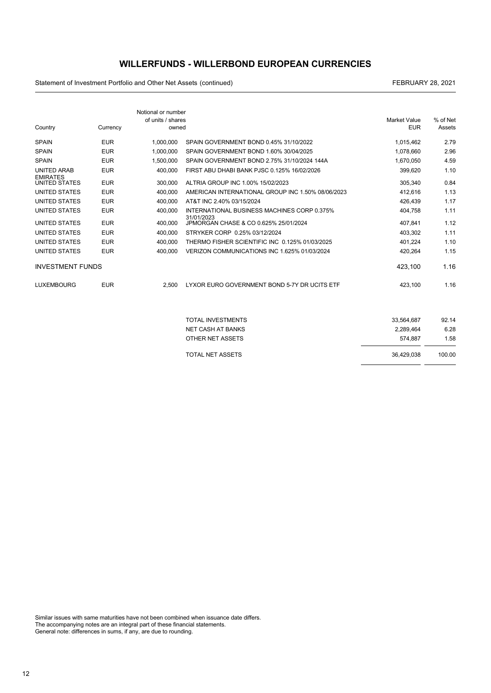### **WILLERFUNDS - WILLERBOND EUROPEAN CURRENCIES**

Statement of Investment Portfolio and Other Net Assets (continued) and the continued continued and continued and the continued of the continued of the continued of the continued of the continued of the continued of the con

| Country                 | Currency   | Notional or number<br>of units / shares<br>owned |                                                     | <b>Market Value</b><br><b>EUR</b> | % of Net<br>Assets |
|-------------------------|------------|--------------------------------------------------|-----------------------------------------------------|-----------------------------------|--------------------|
| <b>SPAIN</b>            | <b>EUR</b> | 1.000.000                                        | SPAIN GOVERNMENT BOND 0.45% 31/10/2022              | 1,015,462                         | 2.79               |
| <b>SPAIN</b>            | <b>EUR</b> | 1.000.000                                        | SPAIN GOVERNMENT BOND 1.60% 30/04/2025              | 1.078.660                         | 2.96               |
| <b>SPAIN</b>            | <b>EUR</b> | 1.500.000                                        | SPAIN GOVERNMENT BOND 2.75% 31/10/2024 144A         | 1.670.050                         | 4.59               |
| <b>UNITED ARAB</b>      | <b>EUR</b> | 400,000                                          | FIRST ABU DHABI BANK PJSC 0.125% 16/02/2026         | 399,620                           | 1.10               |
| <b>EMIRATES</b>         |            |                                                  |                                                     |                                   |                    |
| UNITED STATES           | <b>EUR</b> | 300.000                                          | ALTRIA GROUP INC 1.00% 15/02/2023                   | 305.340                           | 0.84               |
| UNITED STATES           | <b>EUR</b> | 400.000                                          | AMERICAN INTERNATIONAL GROUP INC 1.50% 08/06/2023   | 412.616                           | 1.13               |
| UNITED STATES           | <b>EUR</b> | 400,000                                          | AT&T INC 2.40% 03/15/2024                           | 426,439                           | 1.17               |
| UNITED STATES           | <b>EUR</b> | 400.000                                          | INTERNATIONAL BUSINESS MACHINES CORP 0.375%         | 404.758                           | 1.11               |
| UNITED STATES           | <b>EUR</b> | 400,000                                          | 31/01/2023<br>JPMORGAN CHASE & CO 0.625% 25/01/2024 | 407,841                           | 1.12               |
| <b>UNITED STATES</b>    | <b>EUR</b> | 400,000                                          | STRYKER CORP 0.25% 03/12/2024                       | 403,302                           | 1.11               |
| UNITED STATES           | <b>EUR</b> | 400.000                                          | THERMO FISHER SCIENTIFIC INC 0.125% 01/03/2025      | 401,224                           | 1.10               |
| UNITED STATES           | <b>EUR</b> | 400.000                                          | VERIZON COMMUNICATIONS INC 1.625% 01/03/2024        | 420,264                           | 1.15               |
| <b>INVESTMENT FUNDS</b> |            |                                                  |                                                     | 423,100                           | 1.16               |
| <b>LUXEMBOURG</b>       | <b>EUR</b> | 2.500                                            | LYXOR EURO GOVERNMENT BOND 5-7Y DR UCITS ETF        | 423,100                           | 1.16               |
|                         |            |                                                  |                                                     |                                   |                    |
|                         |            |                                                  | <b>TOTAL INVESTMENTS</b>                            | 33,564,687                        | 92.14              |
|                         |            |                                                  | <b>NET CASH AT BANKS</b>                            | 2.289.464                         | 6.28               |
|                         |            |                                                  | <b>OTHER NET ASSETS</b>                             | 574.887                           | 1.58               |

| TOTAL NET ASSETS | 36.429.038 | 100.00 |
|------------------|------------|--------|
|                  |            |        |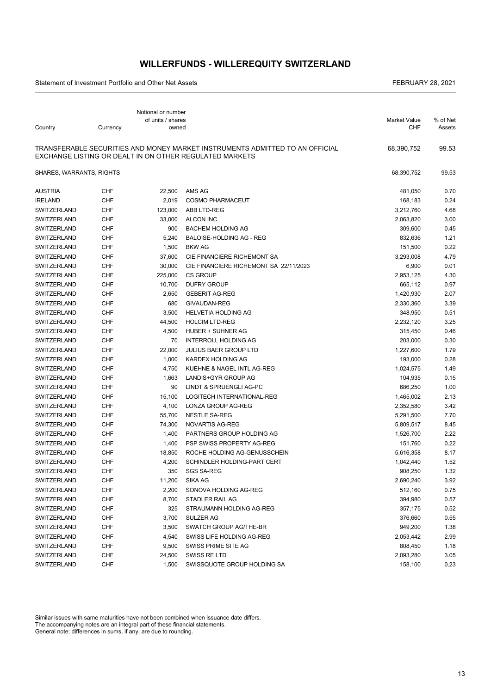### **WILLERFUNDS - WILLEREQUITY SWITZERLAND**

Statement of Investment Portfolio and Other Net Assets FEBRUARY 28, 2021

| Country                  | Currency   | Notional or number<br>of units / shares<br>owned |                                                                                                                                         | <b>Market Value</b><br><b>CHF</b> | % of Net<br>Assets |
|--------------------------|------------|--------------------------------------------------|-----------------------------------------------------------------------------------------------------------------------------------------|-----------------------------------|--------------------|
|                          |            |                                                  |                                                                                                                                         |                                   |                    |
|                          |            |                                                  | TRANSFERABLE SECURITIES AND MONEY MARKET INSTRUMENTS ADMITTED TO AN OFFICIAL<br>EXCHANGE LISTING OR DEALT IN ON OTHER REGULATED MARKETS | 68,390,752                        | 99.53              |
| SHARES, WARRANTS, RIGHTS |            |                                                  |                                                                                                                                         | 68,390,752                        | 99.53              |
| <b>AUSTRIA</b>           | <b>CHF</b> | 22,500                                           | AMS AG                                                                                                                                  | 481,050                           | 0.70               |
| <b>IRELAND</b>           | <b>CHF</b> | 2,019                                            | <b>COSMO PHARMACEUT</b>                                                                                                                 | 168,183                           | 0.24               |
| SWITZERLAND              | <b>CHF</b> | 123,000                                          | ABB LTD-REG                                                                                                                             | 3,212,760                         | 4.68               |
| SWITZERLAND              | <b>CHF</b> | 33,000                                           | <b>ALCON INC</b>                                                                                                                        | 2,063,820                         | 3.00               |
| SWITZERLAND              | <b>CHF</b> | 900                                              | <b>BACHEM HOLDING AG</b>                                                                                                                | 309,600                           | 0.45               |
| SWITZERLAND              | <b>CHF</b> | 5,240                                            | <b>BALOISE-HOLDING AG - REG</b>                                                                                                         | 832,636                           | 1.21               |
| SWITZERLAND              | CHF        | 1,500                                            | <b>BKW AG</b>                                                                                                                           | 151,500                           | 0.22               |
| SWITZERLAND              | <b>CHF</b> | 37,600                                           | CIE FINANCIERE RICHEMONT SA                                                                                                             | 3,293,008                         | 4.79               |
| SWITZERLAND              | <b>CHF</b> | 30,000                                           | CIE FINANCIERE RICHEMONT SA 22/11/2023                                                                                                  | 6,900                             | 0.01               |
| SWITZERLAND              | <b>CHF</b> | 225,000                                          | <b>CS GROUP</b>                                                                                                                         | 2,953,125                         | 4.30               |
| SWITZERLAND              | CHF        | 10,700                                           | <b>DUFRY GROUP</b>                                                                                                                      | 665,112                           | 0.97               |
| SWITZERLAND              | CHF        | 2,650                                            | <b>GEBERIT AG-REG</b>                                                                                                                   | 1,420,930                         | 2.07               |
| SWITZERLAND              | <b>CHF</b> | 680                                              | GIVAUDAN-REG                                                                                                                            | 2,330,360                         | 3.39               |
| SWITZERLAND              | <b>CHF</b> | 3,500                                            | <b>HELVETIA HOLDING AG</b>                                                                                                              | 348,950                           | 0.51               |
| SWITZERLAND              | <b>CHF</b> | 44,500                                           | <b>HOLCIM LTD-REG</b>                                                                                                                   | 2,232,120                         | 3.25               |
| SWITZERLAND              | CHF        | 4,500                                            | HUBER + SUHNER AG                                                                                                                       | 315,450                           | 0.46               |
| SWITZERLAND              | <b>CHF</b> | 70                                               | <b>INTERROLL HOLDING AG</b>                                                                                                             | 203,000                           | 0.30               |
| SWITZERLAND              | <b>CHF</b> | 22,000                                           | <b>JULIUS BAER GROUP LTD</b>                                                                                                            | 1,227,600                         | 1.79               |
| SWITZERLAND              | <b>CHF</b> | 1,000                                            | KARDEX HOLDING AG                                                                                                                       | 193,000                           | 0.28               |
| SWITZERLAND              | <b>CHF</b> | 4,750                                            | KUEHNE & NAGEL INTL AG-REG                                                                                                              | 1,024,575                         | 1.49               |
| SWITZERLAND              | <b>CHF</b> | 1,663                                            | LANDIS+GYR GROUP AG                                                                                                                     | 104,935                           | 0.15               |
| SWITZERLAND              | <b>CHF</b> | 90                                               | LINDT & SPRUENGLI AG-PC                                                                                                                 | 686,250                           | 1.00               |
| SWITZERLAND              | <b>CHF</b> | 15,100                                           | LOGITECH INTERNATIONAL-REG                                                                                                              | 1,465,002                         | 2.13               |
| SWITZERLAND              | <b>CHF</b> | 4,100                                            | LONZA GROUP AG-REG                                                                                                                      | 2,352,580                         | 3.42               |
| SWITZERLAND              | CHF        | 55,700                                           | <b>NESTLE SA-REG</b>                                                                                                                    | 5,291,500                         | 7.70               |
| SWITZERLAND              | <b>CHF</b> | 74,300                                           | NOVARTIS AG-REG                                                                                                                         | 5,809,517                         | 8.45               |
| SWITZERLAND              | CHF        | 1,400                                            | PARTNERS GROUP HOLDING AG                                                                                                               | 1,526,700                         | 2.22               |
| SWITZERLAND              | CHF        | 1,400                                            | PSP SWISS PROPERTY AG-REG                                                                                                               | 151,760                           | 0.22               |
| SWITZERLAND              | CHF        | 18,850                                           | ROCHE HOLDING AG-GENUSSCHEIN                                                                                                            | 5,616,358                         | 8.17               |
| <b>SWITZERLAND</b>       | CHF        | 4,200                                            | SCHINDLER HOLDING-PART CERT                                                                                                             | 1,042,440                         | 1.52               |
| SWITZERLAND              | <b>CHF</b> | 350                                              | SGS SA-REG                                                                                                                              | 908,250                           | 1.32               |
| SWITZERLAND              | CHF        | 11,200                                           | SIKA AG                                                                                                                                 | 2,690,240                         | 3.92               |
| SWITZERLAND              | <b>CHF</b> | 2,200                                            | SONOVA HOLDING AG-REG                                                                                                                   | 512,160                           | 0.75               |
| SWITZERLAND              | CHF        | 8,700                                            | STADLER RAIL AG                                                                                                                         | 394,980                           | 0.57               |
| SWITZERLAND              | CHF        | 325                                              | STRAUMANN HOLDING AG-REG                                                                                                                | 357,175                           | 0.52               |
| SWITZERLAND              | CHF        | 3,700                                            | SULZER AG                                                                                                                               | 376,660                           | 0.55               |
| SWITZERLAND              | CHF        | 3,500                                            | SWATCH GROUP AG/THE-BR                                                                                                                  | 949,200                           | 1.38               |
| SWITZERLAND              | CHF        | 4,540                                            | SWISS LIFE HOLDING AG-REG                                                                                                               | 2,053,442                         | 2.99               |
| SWITZERLAND              | CHF        | 9,500                                            | SWISS PRIME SITE AG                                                                                                                     | 808,450                           | 1.18               |
| SWITZERLAND              | CHF        | 24,500                                           | SWISS RE LTD                                                                                                                            | 2,093,280                         | 3.05               |
| SWITZERLAND              | CHF        | 1,500                                            | SWISSQUOTE GROUP HOLDING SA                                                                                                             | 158,100                           | 0.23               |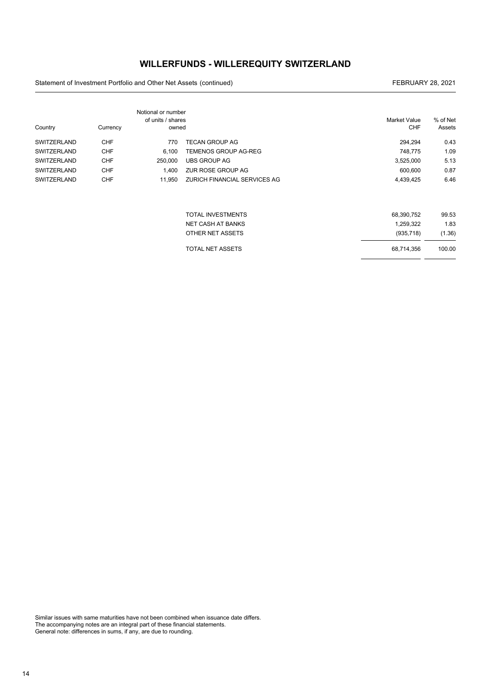### **WILLERFUNDS - WILLEREQUITY SWITZERLAND**

Statement of Investment Portfolio and Other Net Assets (continued) and the continued continued and continued and the continued of the continued of the continued of the continued of the continued of the continued of the con

|                    |            | Notional or number<br>of units / shares |                              | <b>Market Value</b> | % of Net |
|--------------------|------------|-----------------------------------------|------------------------------|---------------------|----------|
| Country            | Currency   | owned                                   |                              | <b>CHF</b>          | Assets   |
| <b>SWITZERLAND</b> | <b>CHF</b> | 770                                     | <b>TECAN GROUP AG</b>        | 294,294             | 0.43     |
| <b>SWITZERLAND</b> | <b>CHF</b> | 6,100                                   | <b>TEMENOS GROUP AG-REG</b>  | 748,775             | 1.09     |
| <b>SWITZERLAND</b> | <b>CHF</b> | 250,000                                 | <b>UBS GROUP AG</b>          | 3,525,000           | 5.13     |
| <b>SWITZERLAND</b> | <b>CHF</b> | 1,400                                   | ZUR ROSE GROUP AG            | 600,600             | 0.87     |
| <b>SWITZERLAND</b> | <b>CHF</b> | 11,950                                  | ZURICH FINANCIAL SERVICES AG | 4,439,425           | 6.46     |
|                    |            |                                         | <b>TOTAL INVESTMENTS</b>     | 68,390,752          | 99.53    |
|                    |            |                                         | <b>NET CASH AT BANKS</b>     | 1,259,322           | 1.83     |
|                    |            |                                         | OTHER NET ASSETS             | (935, 718)          | (1.36)   |
|                    |            |                                         | TOTAL NET ASSETS             | 68,714,356          | 100.00   |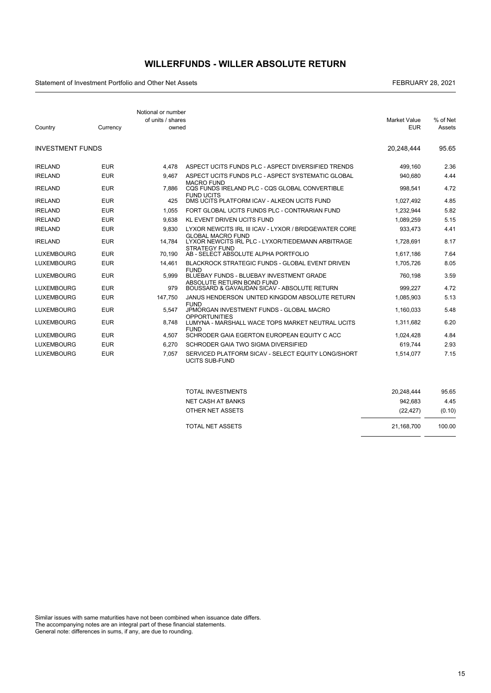## **WILLERFUNDS - WILLER ABSOLUTE RETURN**

Statement of Investment Portfolio and Other Net Assets FEBRUARY 28, 2021

 $\overline{a}$ 

| Country                 | Currency   | Notional or number<br>of units / shares<br>owned |                                                                                         | <b>Market Value</b><br><b>EUR</b> | % of Net<br>Assets |
|-------------------------|------------|--------------------------------------------------|-----------------------------------------------------------------------------------------|-----------------------------------|--------------------|
| <b>INVESTMENT FUNDS</b> |            |                                                  |                                                                                         | 20.248.444                        | 95.65              |
| <b>IRELAND</b>          | <b>EUR</b> | 4.478                                            | ASPECT UCITS FUNDS PLC - ASPECT DIVERSIFIED TRENDS                                      | 499.160                           | 2.36               |
| <b>IRELAND</b>          | <b>EUR</b> | 9.467                                            | ASPECT UCITS FUNDS PLC - ASPECT SYSTEMATIC GLOBAL                                       | 940.680                           | 4.44               |
| <b>IRELAND</b>          | <b>EUR</b> | 7.886                                            | <b>MACRO FUND</b><br>CQS FUNDS IRELAND PLC - CQS GLOBAL CONVERTIBLE                     | 998.541                           | 4.72               |
| <b>IRELAND</b>          | <b>EUR</b> | 425                                              | <b>FUND UCITS</b><br>DMS UCITS PLATFORM ICAV - ALKEON UCITS FUND                        | 1,027,492                         | 4.85               |
| <b>IRELAND</b>          | <b>EUR</b> | 1.055                                            | FORT GLOBAL UCITS FUNDS PLC - CONTRARIAN FUND                                           | 1.232.944                         | 5.82               |
| <b>IRELAND</b>          | <b>EUR</b> | 9.638                                            | <b>KL EVENT DRIVEN UCITS FUND</b>                                                       | 1,089,259                         | 5.15               |
| <b>IRELAND</b>          | <b>EUR</b> | 9.830                                            | LYXOR NEWCITS IRL III ICAV - LYXOR / BRIDGEWATER CORE                                   | 933,473                           | 4.41               |
| <b>IRELAND</b>          | <b>EUR</b> | 14.784                                           | <b>GLOBAL MACRO FUND</b><br>LYXOR NEWCITS IRL PLC - LYXOR/TIEDEMANN ARBITRAGE           | 1,728,691                         | 8.17               |
| <b>LUXEMBOURG</b>       | <b>EUR</b> | 70.190                                           | <b>STRATEGY FUND</b><br>AB - SELECT ABSOLUTE ALPHA PORTFOLIO                            | 1,617,186                         | 7.64               |
| <b>LUXEMBOURG</b>       | <b>EUR</b> | 14,461                                           | <b>BLACKROCK STRATEGIC FUNDS - GLOBAL EVENT DRIVEN</b>                                  | 1,705,726                         | 8.05               |
| <b>LUXEMBOURG</b>       | <b>EUR</b> | 5.999                                            | <b>FUND</b><br>BLUEBAY FUNDS - BLUEBAY INVESTMENT GRADE<br>ABSOLUTE RETURN BOND FUND    | 760.198                           | 3.59               |
| <b>LUXEMBOURG</b>       | <b>EUR</b> | 979                                              | BOUSSARD & GAVAUDAN SICAV - ABSOLUTE RETURN                                             | 999.227                           | 4.72               |
| <b>LUXEMBOURG</b>       | <b>EUR</b> | 147.750                                          | JANUS HENDERSON UNITED KINGDOM ABSOLUTE RETURN                                          | 1,085,903                         | 5.13               |
| <b>LUXEMBOURG</b>       | <b>EUR</b> | 5.547                                            | <b>FUND</b><br>JPMORGAN INVESTMENT FUNDS - GLOBAL MACRO                                 | 1.160.033                         | 5.48               |
| <b>LUXEMBOURG</b>       | <b>EUR</b> | 8.748                                            | <b>OPPORTUNITIES</b><br>LUMYNA - MARSHALL WACE TOPS MARKET NEUTRAL UCITS<br><b>FUND</b> | 1.311.682                         | 6.20               |
| <b>LUXEMBOURG</b>       | <b>EUR</b> | 4.507                                            | SCHRODER GAIA EGERTON EUROPEAN EQUITY C ACC                                             | 1,024,428                         | 4.84               |
| <b>LUXEMBOURG</b>       | <b>EUR</b> | 6.270                                            | SCHRODER GAIA TWO SIGMA DIVERSIFIED                                                     | 619.744                           | 2.93               |
| <b>LUXEMBOURG</b>       | <b>EUR</b> | 7.057                                            | SERVICED PLATFORM SICAV - SELECT EQUITY LONG/SHORT<br><b>UCITS SUB-FUND</b>             | 1.514.077                         | 7.15               |

| TOTAL INVESTMENTS | 20.248.444 | 95.65  |
|-------------------|------------|--------|
| NET CASH AT BANKS | 942.683    | 4.45   |
| OTHER NET ASSETS  | (22.427)   | (0.10) |
| TOTAL NET ASSETS  | 21.168.700 | 100.00 |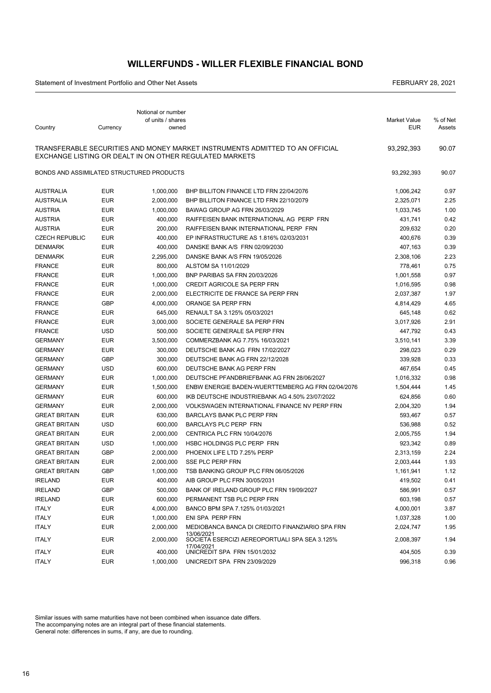### **WILLERFUNDS - WILLER FLEXIBLE FINANCIAL BOND**

Statement of Investment Portfolio and Other Net Assets FEBRUARY 28, 2021

|                                           |            | Notional or number<br>of units / shares |                                                                                                                                         | Market Value | % of Net |
|-------------------------------------------|------------|-----------------------------------------|-----------------------------------------------------------------------------------------------------------------------------------------|--------------|----------|
| Country                                   | Currency   | owned                                   |                                                                                                                                         | <b>EUR</b>   | Assets   |
|                                           |            |                                         | TRANSFERABLE SECURITIES AND MONEY MARKET INSTRUMENTS ADMITTED TO AN OFFICIAL<br>EXCHANGE LISTING OR DEALT IN ON OTHER REGULATED MARKETS | 93,292,393   | 90.07    |
| BONDS AND ASSIMILATED STRUCTURED PRODUCTS |            |                                         |                                                                                                                                         | 93,292,393   | 90.07    |
| <b>AUSTRALIA</b>                          | <b>EUR</b> | 1,000,000                               | BHP BILLITON FINANCE LTD FRN 22/04/2076                                                                                                 | 1,006,242    | 0.97     |
| <b>AUSTRALIA</b>                          | <b>EUR</b> | 2,000,000                               | BHP BILLITON FINANCE LTD FRN 22/10/2079                                                                                                 | 2,325,071    | 2.25     |
| <b>AUSTRIA</b>                            | <b>EUR</b> | 1,000,000                               | BAWAG GROUP AG FRN 26/03/2029                                                                                                           | 1,033,745    | 1.00     |
| <b>AUSTRIA</b>                            | <b>EUR</b> | 400,000                                 | RAIFFEISEN BANK INTERNATIONAL AG PERP FRN                                                                                               | 431,741      | 0.42     |
| <b>AUSTRIA</b>                            | <b>EUR</b> | 200,000                                 | RAIFFEISEN BANK INTERNATIONAL PERP FRN                                                                                                  | 209,632      | 0.20     |
| <b>CZECH REPUBLIC</b>                     | <b>EUR</b> | 400,000                                 | EP INFRASTRUCTURE AS 1.816% 02/03/2031                                                                                                  | 400,676      | 0.39     |
| <b>DENMARK</b>                            | <b>EUR</b> | 400,000                                 | DANSKE BANK A/S FRN 02/09/2030                                                                                                          | 407,163      | 0.39     |
| <b>DENMARK</b>                            | <b>EUR</b> | 2,295,000                               | DANSKE BANK A/S FRN 19/05/2026                                                                                                          | 2,308,106    | 2.23     |
| <b>FRANCE</b>                             | <b>EUR</b> | 800,000                                 | ALSTOM SA 11/01/2029                                                                                                                    | 778,461      | 0.75     |
| <b>FRANCE</b>                             | <b>EUR</b> | 1,000,000                               | BNP PARIBAS SA FRN 20/03/2026                                                                                                           | 1,001,558    | 0.97     |
| <b>FRANCE</b>                             | <b>EUR</b> | 1,000,000                               | CREDIT AGRICOLE SA PERP FRN                                                                                                             | 1,016,595    | 0.98     |
| <b>FRANCE</b>                             | <b>EUR</b> | 2,000,000                               | ELECTRICITE DE FRANCE SA PERP FRN                                                                                                       | 2,037,387    | 1.97     |
| <b>FRANCE</b>                             | GBP        | 4,000,000                               | ORANGE SA PERP FRN                                                                                                                      | 4,814,429    | 4.65     |
| <b>FRANCE</b>                             | <b>EUR</b> | 645,000                                 | RENAULT SA 3.125% 05/03/2021                                                                                                            | 645,148      | 0.62     |
| <b>FRANCE</b>                             | <b>EUR</b> | 3,000,000                               | SOCIETE GENERALE SA PERP FRN                                                                                                            | 3,017,926    | 2.91     |
| <b>FRANCE</b>                             | <b>USD</b> | 500,000                                 | SOCIETE GENERALE SA PERP FRN                                                                                                            | 447,792      | 0.43     |
| <b>GERMANY</b>                            | <b>EUR</b> | 3,500,000                               | COMMERZBANK AG 7.75% 16/03/2021                                                                                                         | 3,510,141    | 3.39     |
| <b>GERMANY</b>                            | <b>EUR</b> | 300,000                                 | DEUTSCHE BANK AG FRN 17/02/2027                                                                                                         | 298,023      | 0.29     |
| <b>GERMANY</b>                            | <b>GBP</b> | 300,000                                 | DEUTSCHE BANK AG FRN 22/12/2028                                                                                                         | 339,928      | 0.33     |
| <b>GERMANY</b>                            | <b>USD</b> | 600,000                                 | DEUTSCHE BANK AG PERP FRN                                                                                                               | 467,654      | 0.45     |
| <b>GERMANY</b>                            | <b>EUR</b> | 1,000,000                               | DEUTSCHE PFANDBRIEFBANK AG FRN 28/06/2027                                                                                               | 1,016,332    | 0.98     |
| <b>GERMANY</b>                            | <b>EUR</b> | 1,500,000                               | ENBW ENERGIE BADEN-WUERTTEMBERG AG FRN 02/04/2076                                                                                       | 1,504,444    | 1.45     |
| <b>GERMANY</b>                            | <b>EUR</b> | 600,000                                 | IKB DEUTSCHE INDUSTRIEBANK AG 4.50% 23/07/2022                                                                                          | 624,856      | 0.60     |
| <b>GERMANY</b>                            | <b>EUR</b> | 2,000,000                               | VOLKSWAGEN INTERNATIONAL FINANCE NV PERP FRN                                                                                            | 2,004,320    | 1.94     |
| <b>GREAT BRITAIN</b>                      | <b>EUR</b> | 630,000                                 | <b>BARCLAYS BANK PLC PERP FRN</b>                                                                                                       | 593,467      | 0.57     |
| <b>GREAT BRITAIN</b>                      | <b>USD</b> | 600,000                                 | <b>BARCLAYS PLC PERP FRN</b>                                                                                                            | 536,988      | 0.52     |
| <b>GREAT BRITAIN</b>                      | <b>EUR</b> | 2,000,000                               | CENTRICA PLC FRN 10/04/2076                                                                                                             | 2,005,755    | 1.94     |
| <b>GREAT BRITAIN</b>                      | <b>USD</b> | 1,000,000                               | HSBC HOLDINGS PLC PERP FRN                                                                                                              | 923,342      | 0.89     |
| <b>GREAT BRITAIN</b>                      | <b>GBP</b> | 2,000,000                               | PHOENIX LIFE LTD 7.25% PERP                                                                                                             | 2,313,159    | 2.24     |
| <b>GREAT BRITAIN</b>                      | <b>EUR</b> | 2,000,000                               | SSE PLC PERP FRN                                                                                                                        | 2,003,444    | 1.93     |
| <b>GREAT BRITAIN</b>                      | <b>GBP</b> | 1,000,000                               | TSB BANKING GROUP PLC FRN 06/05/2026                                                                                                    | 1,161,941    | 1.12     |
| <b>IRELAND</b>                            | <b>EUR</b> | 400,000                                 | AIB GROUP PLC FRN 30/05/2031                                                                                                            | 419,502      | 0.41     |
| <b>IRELAND</b>                            | <b>GBP</b> | 500,000                                 | BANK OF IRELAND GROUP PLC FRN 19/09/2027                                                                                                | 586,991      | 0.57     |
| <b>IRELAND</b>                            | EUR        | 600,000                                 | PERMANENT TSB PLC PERP FRN                                                                                                              | 603,198      | 0.57     |
| <b>ITALY</b>                              | <b>EUR</b> | 4,000,000                               | BANCO BPM SPA 7.125% 01/03/2021                                                                                                         | 4,000,001    | 3.87     |
| <b>ITALY</b>                              | EUR        | 1,000,000                               | ENI SPA PERP FRN                                                                                                                        | 1,037,328    | 1.00     |
| <b>ITALY</b>                              | EUR        | 2,000,000                               | MEDIOBANCA BANCA DI CREDITO FINANZIARIO SPA FRN                                                                                         | 2,024,747    | 1.95     |
| <b>ITALY</b>                              | <b>EUR</b> | 2,000,000                               | 13/06/2021<br>SOCIETA ESERCIZI AEREOPORTUALI SPA SEA 3.125%                                                                             | 2,008,397    | 1.94     |
| <b>ITALY</b>                              | <b>EUR</b> | 400,000                                 | 17/04/2021<br>UNICREDIT SPA FRN 15/01/2032                                                                                              | 404,505      | 0.39     |
| <b>ITALY</b>                              | <b>EUR</b> | 1,000,000                               | UNICREDIT SPA FRN 23/09/2029                                                                                                            | 996,318      | 0.96     |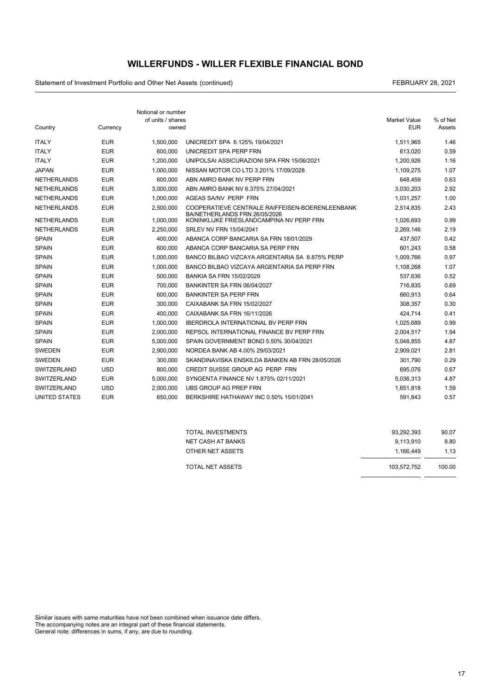### **WILLERFUNDS - WILLER FLEXIBLE FINANCIAL BOND**

Statement of Investment Portfolio and Other Net Assets (continued) and the continued continued and continued and the continued of the continued of the continued of the continued of the continued of the continued of the con

|                      |            | Notional or number<br>of units / shares |                                                                           | <b>Market Value</b> | % of Net |
|----------------------|------------|-----------------------------------------|---------------------------------------------------------------------------|---------------------|----------|
| Country              | Currency   | owned                                   |                                                                           | <b>EUR</b>          | Assets   |
| <b>ITALY</b>         | <b>EUR</b> | 1.500.000                               | UNICREDIT SPA 6.125% 19/04/2021                                           | 1,511,965           | 1.46     |
| <b>ITALY</b>         | <b>EUR</b> | 600,000                                 | UNICREDIT SPA PERP FRN                                                    | 613,020             | 0.59     |
| <b>ITALY</b>         | <b>EUR</b> | 1.200.000                               | UNIPOLSAI ASSICURAZIONI SPA FRN 15/06/2021                                | 1.200.926           | 1.16     |
| <b>JAPAN</b>         | <b>EUR</b> | 1.000.000                               | NISSAN MOTOR CO LTD 3.201% 17/09/2028                                     | 1.109.275           | 1.07     |
| <b>NETHERLANDS</b>   | <b>EUR</b> | 600,000                                 | ABN AMRO BANK NV PERP FRN                                                 | 648,459             | 0.63     |
| <b>NETHERLANDS</b>   | <b>EUR</b> | 3,000,000                               | ABN AMRO BANK NV 6.375% 27/04/2021                                        | 3,030,203           | 2.92     |
| <b>NETHERLANDS</b>   | <b>EUR</b> | 1.000.000                               | AGEAS SA/NV PERP FRN                                                      | 1,031,257           | 1.00     |
| <b>NETHERLANDS</b>   | <b>EUR</b> | 2.500.000                               | COOPERATIEVE CENTRALE RAIFFEISEN-BOERENLEENBANK                           | 2,514,835           | 2.43     |
| <b>NETHERLANDS</b>   | <b>EUR</b> | 1,000,000                               | BA/NETHERLANDS FRN 26/05/2026<br>KONINKLIJKE FRIESLANDCAMPINA NV PERP FRN | 1,026,693           | 0.99     |
| <b>NETHERLANDS</b>   | <b>EUR</b> | 2,250,000                               | SRLEV NV FRN 15/04/2041                                                   | 2,269,146           | 2.19     |
| <b>SPAIN</b>         | <b>EUR</b> | 400.000                                 | ABANCA CORP BANCARIA SA FRN 18/01/2029                                    | 437,507             | 0.42     |
| <b>SPAIN</b>         | <b>EUR</b> | 600,000                                 | ABANCA CORP BANCARIA SA PERP FRN                                          | 601,243             | 0.58     |
| <b>SPAIN</b>         | <b>EUR</b> | 1,000,000                               | BANCO BILBAO VIZCAYA ARGENTARIA SA 8.875% PERP                            | 1,009,766           | 0.97     |
| <b>SPAIN</b>         | <b>EUR</b> | 1,000,000                               | BANCO BILBAO VIZCAYA ARGENTARIA SA PERP FRN                               | 1,108,268           | 1.07     |
| <b>SPAIN</b>         | <b>EUR</b> | 500.000                                 | BANKIA SA FRN 15/02/2029                                                  | 537.636             | 0.52     |
| <b>SPAIN</b>         | <b>EUR</b> | 700,000                                 | BANKINTER SA FRN 06/04/2027                                               | 716,835             | 0.69     |
| <b>SPAIN</b>         | <b>EUR</b> | 600,000                                 | <b>BANKINTER SA PERP FRN</b>                                              | 660.913             | 0.64     |
| <b>SPAIN</b>         | <b>EUR</b> | 300.000                                 | CAIXABANK SA FRN 15/02/2027                                               | 308,357             | 0.30     |
| <b>SPAIN</b>         | <b>EUR</b> | 400.000                                 | CAIXABANK SA FRN 16/11/2026                                               | 424,714             | 0.41     |
| <b>SPAIN</b>         | <b>EUR</b> | 1,000,000                               | <b>IBERDROLA INTERNATIONAL BV PERP FRN</b>                                | 1,025,689           | 0.99     |
| <b>SPAIN</b>         | <b>EUR</b> | 2.000.000                               | REPSOL INTERNATIONAL FINANCE BV PERP FRN                                  | 2,004,517           | 1.94     |
| <b>SPAIN</b>         | <b>EUR</b> | 5,000,000                               | SPAIN GOVERNMENT BOND 5.50% 30/04/2021                                    | 5,048,855           | 4.87     |
| <b>SWEDEN</b>        | <b>EUR</b> | 2.900.000                               | NORDEA BANK AB 4.00% 29/03/2021                                           | 2,909,021           | 2.81     |
| <b>SWEDEN</b>        | <b>EUR</b> | 300,000                                 | SKANDINAVISKA ENSKILDA BANKEN AB FRN 28/05/2026                           | 301,790             | 0.29     |
| SWITZERLAND          | <b>USD</b> | 800,000                                 | CREDIT SUISSE GROUP AG PERP FRN                                           | 695,076             | 0.67     |
| <b>SWITZERLAND</b>   | <b>EUR</b> | 5,000,000                               | SYNGENTA FINANCE NV 1.875% 02/11/2021                                     | 5,036,313           | 4.87     |
| <b>SWITZERLAND</b>   | <b>USD</b> | 2.000.000                               | UBS GROUP AG PREP FRN                                                     | 1,651,818           | 1.59     |
| <b>UNITED STATES</b> | <b>EUR</b> | 650,000                                 | BERKSHIRE HATHAWAY INC 0.50% 15/01/2041                                   | 591,843             | 0.57     |

| TOTAL INVESTMENTS | 93.292.393  | 90.07  |
|-------------------|-------------|--------|
| NET CASH AT BANKS | 9.113.910   | 8.80   |
| OTHER NET ASSETS  | 1.166.449   | 1.13   |
| TOTAL NET ASSETS  | 103.572.752 | 100.00 |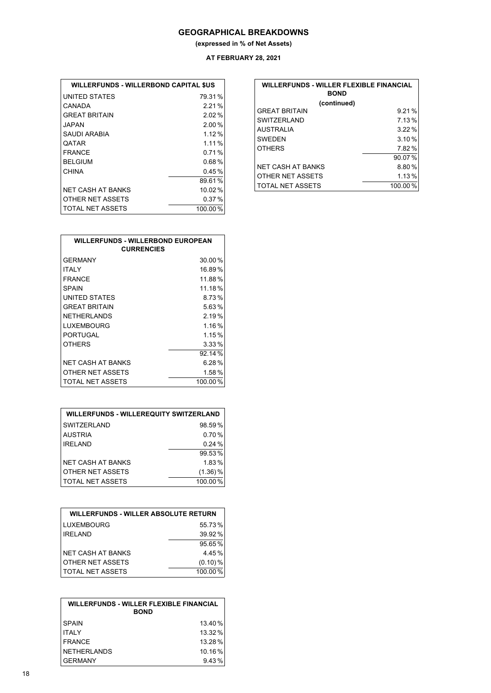### **GEOGRAPHICAL BREAKDOWNS**

**(expressed in % of Net Assets)**

**AT FEBRUARY 28, 2021**

| <b>WILLERFUNDS - WILLERBOND CAPITAL SUS</b> |          |
|---------------------------------------------|----------|
| UNITED STATES                               | 79.31%   |
| CANADA                                      | 221%     |
| <b>GREAT BRITAIN</b>                        | $2.02\%$ |
| JAPAN                                       | $2.00\%$ |
| SAUDI ARABIA                                | 1.12%    |
| QATAR                                       | 1 1 1 %  |
| FRANCF                                      | 0.71%    |
| <b>BELGIUM</b>                              | 0.68%    |
| CHINA                                       | 0.45%    |
|                                             | 89.61%   |
| NFT CASH AT BANKS                           | 10.02%   |
| OTHER NET ASSETS                            | 0.37%    |
| TOTAL NET ASSETS                            | 100.00%  |

| <b>WILLERFUNDS - WILLER FLEXIBLE FINANCIAL</b><br><b>BOND</b> |           |  |  |
|---------------------------------------------------------------|-----------|--|--|
| (continued)                                                   |           |  |  |
| <b>GREAT BRITAIN</b>                                          | 9.21%     |  |  |
| SWITZERI AND                                                  | 7.13%     |  |  |
| <b>AUSTRALIA</b>                                              | 3.22%     |  |  |
| <b>SWEDEN</b>                                                 | 3.10%     |  |  |
| <b>OTHERS</b>                                                 | 7.82%     |  |  |
|                                                               | $90.07\%$ |  |  |
| <b>NET CASH AT BANKS</b>                                      | 8.80%     |  |  |
| OTHER NET ASSETS                                              | 1.13%     |  |  |
| <b>TOTAL NET ASSETS</b>                                       | 100.00%   |  |  |

| <b>WILLERFUNDS - WILLERBOND EUROPEAN</b><br><b>CURRENCIES</b> |          |  |  |  |
|---------------------------------------------------------------|----------|--|--|--|
| <b>GFRMANY</b>                                                | 30.00%   |  |  |  |
| <b>ITALY</b>                                                  | 16.89%   |  |  |  |
| <b>FRANCE</b>                                                 | 11.88%   |  |  |  |
| SPAIN                                                         | 11.18%   |  |  |  |
| UNITED STATES                                                 | 8.73%    |  |  |  |
| <b>GREAT BRITAIN</b>                                          | 5.63%    |  |  |  |
| <b>NETHERLANDS</b>                                            | 2.19%    |  |  |  |
| <b>LUXEMBOURG</b>                                             | 1.16%    |  |  |  |
| PORTUGAL                                                      | 1.15%    |  |  |  |
| <b>OTHERS</b>                                                 | $3.33\%$ |  |  |  |
|                                                               | 92.14%   |  |  |  |
| NET CASH AT BANKS                                             | 6.28%    |  |  |  |
| OTHER NET ASSETS                                              | 1.58%    |  |  |  |
| TOTAL NET ASSETS                                              | 100.00%  |  |  |  |

| <b>WILLERFUNDS - WILLEREQUITY SWITZERLAND</b> |            |  |  |  |
|-----------------------------------------------|------------|--|--|--|
| <b>SWITZERLAND</b>                            | 98.59%     |  |  |  |
| <b>AUSTRIA</b>                                | 0.70%      |  |  |  |
| <b>IRELAND</b>                                | 0.24%      |  |  |  |
|                                               | 99.53%     |  |  |  |
| <b>NET CASH AT BANKS</b>                      | 1.83%      |  |  |  |
| OTHER NET ASSETS                              | $(1.36)$ % |  |  |  |
| TOTAL NET ASSETS                              | 100.00%    |  |  |  |

| <b>WILLERFUNDS - WILLER ABSOLUTE RETURN</b> |            |  |  |  |
|---------------------------------------------|------------|--|--|--|
| LUXEMBOURG                                  | 55.73%     |  |  |  |
| <b>IRFI AND</b>                             | 39.92%     |  |  |  |
|                                             | 95.65%     |  |  |  |
| <b>NET CASH AT BANKS</b>                    | 4.45%      |  |  |  |
| OTHER NET ASSETS                            | $(0.10)\%$ |  |  |  |
| TOTAL NET ASSETS                            | 100.00%    |  |  |  |

| <b>WILLERFUNDS - WILLER FLEXIBLE FINANCIAL</b><br><b>BOND</b> |         |  |
|---------------------------------------------------------------|---------|--|
| <b>SPAIN</b>                                                  | 13.40%  |  |
| <b>ITAI Y</b>                                                 | 13.32 % |  |
| <b>FRANCE</b>                                                 | 13.28%  |  |
| <b>NETHERLANDS</b>                                            | 10.16%  |  |
| <b>GERMANY</b>                                                | 9.43%   |  |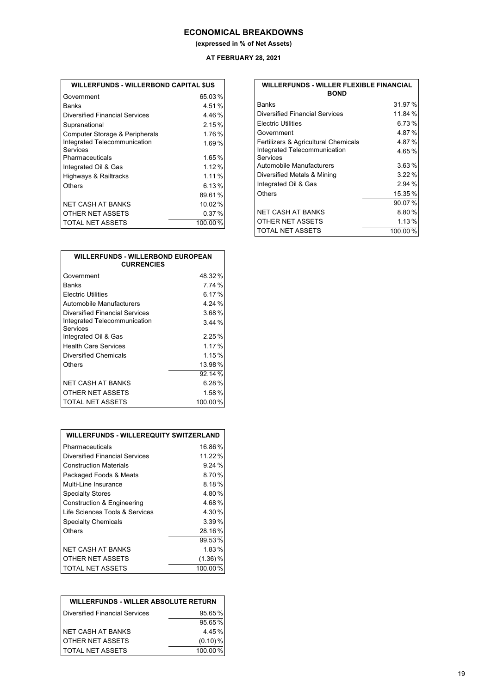### **ECONOMICAL BREAKDOWNS**

**(expressed in % of Net Assets)**

### **AT FEBRUARY 28, 2021**

 $\sqrt{ }$ 

| Government                     | 65.03%   |
|--------------------------------|----------|
| <b>Banks</b>                   | 4.51%    |
| Diversified Financial Services | 4.46%    |
| Supranational                  | 2.15%    |
| Computer Storage & Peripherals | 1.76%    |
| Integrated Telecommunication   | 1.69%    |
| Services                       |          |
| Pharmaceuticals                | 1.65%    |
| Integrated Oil & Gas           | $1.12\%$ |
| Highways & Railtracks          | 1.11%    |
| Others                         | 6.13%    |
|                                | 89.61%   |
| NFT CASH AT BANKS              | 10.02%   |
| OTHER NET ASSETS               | 0.37%    |
| <b>TOTAL NET ASSETS</b>        | 100.00%  |

| <b>WILLERFUNDS - WILLERBOND EUROPEAN</b><br><b>CURRENCIES</b> |          |  |
|---------------------------------------------------------------|----------|--|
| Government                                                    | 48.32%   |  |
| <b>Banks</b>                                                  | 7.74 %   |  |
| <b>Electric Utilities</b>                                     | 6.17%    |  |
| Automobile Manufacturers                                      | 4.24 %   |  |
| Diversified Financial Services                                | $3.68\%$ |  |
| Integrated Telecommunication<br>Services                      | $3.44\%$ |  |
| Integrated Oil & Gas                                          | 2.25%    |  |
| <b>Health Care Services</b>                                   | 1.17%    |  |
| Diversified Chemicals                                         | 1.15%    |  |
| Others                                                        | 13.98%   |  |
|                                                               | 92.14%   |  |
| NFT CASH AT BANKS                                             | $6.28\%$ |  |
| OTHER NET ASSETS                                              | $1.58\%$ |  |
| TOTAL NET ASSETS                                              | 100.00%  |  |

| <b>WILLERFUNDS - WILLEREQUITY SWITZERLAND</b> |            |  |  |  |
|-----------------------------------------------|------------|--|--|--|
| Pharmaceuticals                               | 16.86%     |  |  |  |
| <b>Diversified Financial Services</b>         | 11.22%     |  |  |  |
| <b>Construction Materials</b>                 | 9.24%      |  |  |  |
| Packaged Foods & Meats                        | 8.70%      |  |  |  |
| Multi-Line Insurance                          | 8.18%      |  |  |  |
| <b>Specialty Stores</b>                       | 4.80%      |  |  |  |
| Construction & Engineering                    | 4.68%      |  |  |  |
| Life Sciences Tools & Services                | 4.30%      |  |  |  |
| <b>Specialty Chemicals</b>                    | 3.39%      |  |  |  |
| Others                                        | 28.16%     |  |  |  |
|                                               | 99.53%     |  |  |  |
| NFT CASH AT BANKS                             | 1.83%      |  |  |  |
| OTHER NET ASSETS                              | $(1.36)$ % |  |  |  |
| <b>TOTAL NET ASSETS</b>                       | 100.00%    |  |  |  |

| <b>WILLERFUNDS - WILLER ABSOLUTE RETURN</b> |            |  |  |
|---------------------------------------------|------------|--|--|
| Diversified Financial Services              | 95.65%     |  |  |
|                                             | 95.65%     |  |  |
| NET CASH AT BANKS                           | 4.45%      |  |  |
| OTHER NET ASSETS                            | $(0.10)\%$ |  |  |
| <b>TOTAL NET ASSETS</b>                     | 100.00%    |  |  |

| <b>WILLERFUNDS - WILLER FLEXIBLE FINANCIAL</b><br><b>BOND</b> |         |  |  |
|---------------------------------------------------------------|---------|--|--|
| Banks                                                         | 31.97%  |  |  |
| <b>Diversified Financial Services</b>                         | 11.84%  |  |  |
| Electric Utilities                                            | 6.73%   |  |  |
| Government                                                    | 4.87%   |  |  |
| Fertilizers & Agricultural Chemicals                          | 4.87%   |  |  |
| Integrated Telecommunication                                  | 4.65%   |  |  |
| Services                                                      |         |  |  |
| Automobile Manufacturers                                      | 3.63%   |  |  |
| Diversified Metals & Mining                                   | 3.22%   |  |  |
| Integrated Oil & Gas                                          | 2.94%   |  |  |
| Others                                                        | 15.35%  |  |  |
|                                                               | 90.07%  |  |  |
| NET CASH AT BANKS                                             | 8.80%   |  |  |
| OTHER NET ASSETS                                              | 1.13%   |  |  |
| <b>TOTAL NET ASSETS</b>                                       | 100.00% |  |  |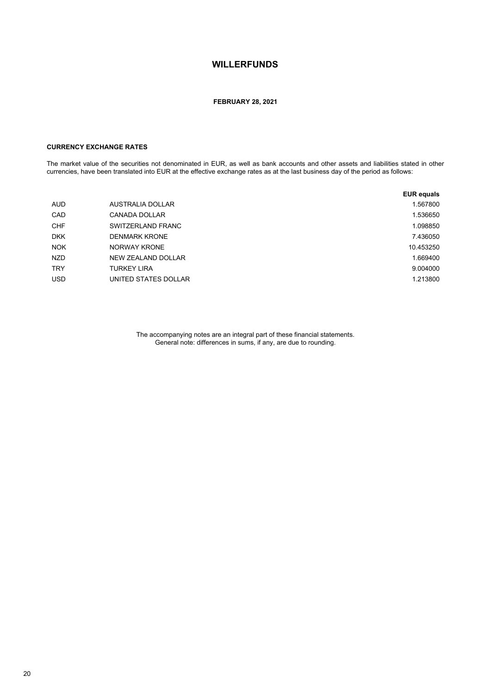#### **FEBRUARY 28, 2021**

### **CURRENCY EXCHANGE RATES**

The market value of the securities not denominated in EUR, as well as bank accounts and other assets and liabilities stated in other currencies, have been translated into EUR at the effective exchange rates as at the last business day of the period as follows:

|            |                      | <b>EUR equals</b> |
|------------|----------------------|-------------------|
| <b>AUD</b> | AUSTRALIA DOLLAR     | 1.567800          |
| CAD        | CANADA DOLLAR        | 1.536650          |
| <b>CHF</b> | SWITZERLAND FRANC    | 1.098850          |
| <b>DKK</b> | <b>DENMARK KRONE</b> | 7.436050          |
| <b>NOK</b> | NORWAY KRONE         | 10.453250         |
| <b>NZD</b> | NEW ZEALAND DOLLAR   | 1.669400          |
| <b>TRY</b> | <b>TURKEY LIRA</b>   | 9.004000          |
| <b>USD</b> | UNITED STATES DOLLAR | 1.213800          |

The accompanying notes are an integral part of these financial statements. General note: differences in sums, if any, are due to rounding.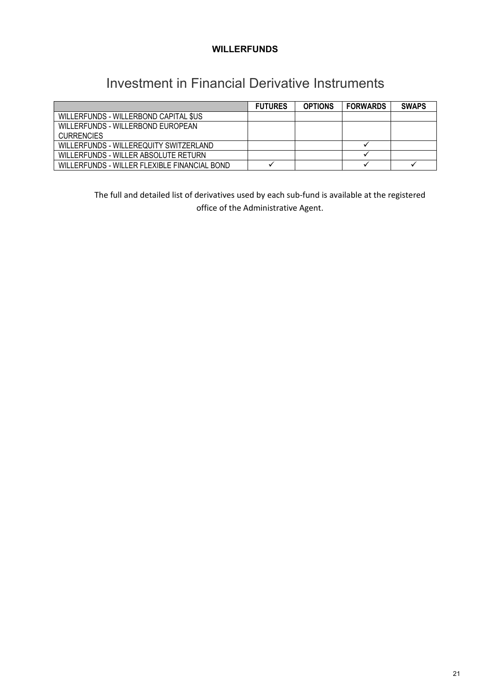## Investment in Financial Derivative Instruments

|                                              | <b>FUTURES</b> | <b>OPTIONS</b> | <b>FORWARDS</b> | <b>SWAPS</b> |
|----------------------------------------------|----------------|----------------|-----------------|--------------|
| WILLERFUNDS - WILLERBOND CAPITAL \$US        |                |                |                 |              |
| WILLERFUNDS - WILLERBOND EUROPEAN            |                |                |                 |              |
| <b>CURRENCIES</b>                            |                |                |                 |              |
| WILLERFUNDS - WILLEREQUITY SWITZERLAND       |                |                |                 |              |
| WILLERFUNDS - WILLER ABSOLUTE RETURN         |                |                |                 |              |
| WILLEREUNDS - WILLER FLEXIBLE FINANCIAL BOND |                |                |                 |              |

The full and detailed list of derivatives used by each sub-fund is available at the registered office of the Administrative Agent.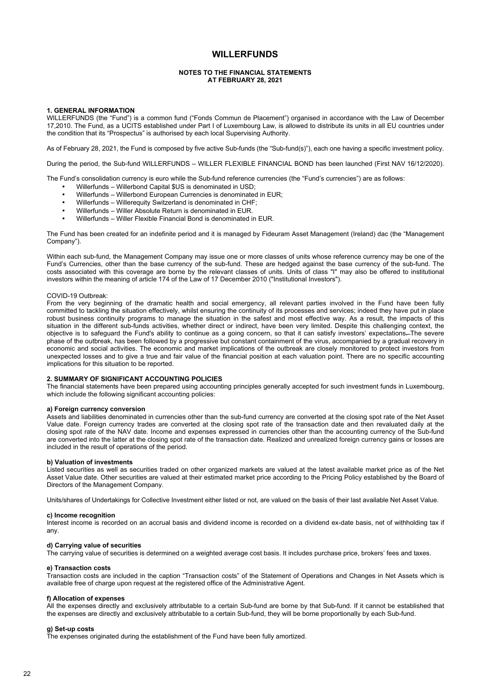#### **NOTES TO THE FINANCIAL STATEMENTS AT FEBRUARY 28, 2021**

#### **1. GENERAL INFORMATION**

WILLERFUNDS (the "Fund") is a common fund ("Fonds Commun de Placement") organised in accordance with the Law of December 17,2010. The Fund, as a UCITS established under Part I of Luxembourg Law, is allowed to distribute its units in all EU countries under the condition that its "Prospectus" is authorised by each local Supervising Authority.

As of February 28, 2021, the Fund is composed by five active Sub-funds (the "Sub-fund(s)"), each one having a specific investment policy.

During the period, the Sub-fund WILLERFUNDS – WILLER FLEXIBLE FINANCIAL BOND has been launched (First NAV 16/12/2020).

The Fund's consolidation currency is euro while the Sub-fund reference currencies (the "Fund's currencies") are as follows:

- Willerfunds Willerbond Capital \$US is denominated in USD;
- Willerfunds Willerbond European Currencies is denominated in EUR;
- Willerfunds Willerequity Switzerland is denominated in CHF;
- Willerfunds Willer Absolute Return is denominated in EUR.
- Willerfunds Willer Flexible Financial Bond is denominated in EUR.

The Fund has been created for an indefinite period and it is managed by Fideuram Asset Management (Ireland) dac (the "Management Company").

Within each sub-fund, the Management Company may issue one or more classes of units whose reference currency may be one of the Fund's Currencies, other than the base currency of the sub-fund. These are hedged against the base currency of the sub-fund. The costs associated with this coverage are borne by the relevant classes of units. Units of class "I" may also be offered to institutional investors within the meaning of article 174 of the Law of 17 December 2010 ("Institutional Investors").

#### COVID-19 Outbreak:

From the very beginning of the dramatic health and social emergency, all relevant parties involved in the Fund have been fully committed to tackling the situation effectively, whilst ensuring the continuity of its processes and services; indeed they have put in place robust business continuity programs to manage the situation in the safest and most effective way. As a result, the impacts of this situation in the different sub-funds activities, whether direct or indirect, have been very limited. Despite this challenging context, the objective is to safeguard the Fund's ability to continue as a going concern, so that it can satisfy investors' expectations. The severe phase of the outbreak, has been followed by a progressive but constant containment of the virus, accompanied by a gradual recovery in economic and social activities. The economic and market implications of the outbreak are closely monitored to protect investors from unexpected losses and to give a true and fair value of the financial position at each valuation point. There are no specific accounting implications for this situation to be reported.

#### **2. SUMMARY OF SIGNIFICANT ACCOUNTING POLICIES**

The financial statements have been prepared using accounting principles generally accepted for such investment funds in Luxembourg, which include the following significant accounting policies:

#### **a) Foreign currency conversion**

Assets and liabilities denominated in currencies other than the sub-fund currency are converted at the closing spot rate of the Net Asset Value date. Foreign currency trades are converted at the closing spot rate of the transaction date and then revaluated daily at the closing spot rate of the NAV date. Income and expenses expressed in currencies other than the accounting currency of the Sub-fund are converted into the latter at the closing spot rate of the transaction date. Realized and unrealized foreign currency gains or losses are included in the result of operations of the period.

#### **b) Valuation of investments**

Listed securities as well as securities traded on other organized markets are valued at the latest available market price as of the Net Asset Value date. Other securities are valued at their estimated market price according to the Pricing Policy established by the Board of Directors of the Management Company.

Units/shares of Undertakings for Collective Investment either listed or not, are valued on the basis of their last available Net Asset Value.

#### **c) Income recognition**

Interest income is recorded on an accrual basis and dividend income is recorded on a dividend ex-date basis, net of withholding tax if any.

#### **d) Carrying value of securities**

The carrying value of securities is determined on a weighted average cost basis. It includes purchase price, brokers' fees and taxes.

#### **e) Transaction costs**

Transaction costs are included in the caption "Transaction costs" of the Statement of Operations and Changes in Net Assets which is available free of charge upon request at the registered office of the Administrative Agent.

#### **f) Allocation of expenses**

All the expenses directly and exclusively attributable to a certain Sub-fund are borne by that Sub-fund. If it cannot be established that the expenses are directly and exclusively attributable to a certain Sub-fund, they will be borne proportionally by each Sub-fund.

### **g) Set-up costs**

The expenses originated during the establishment of the Fund have been fully amortized.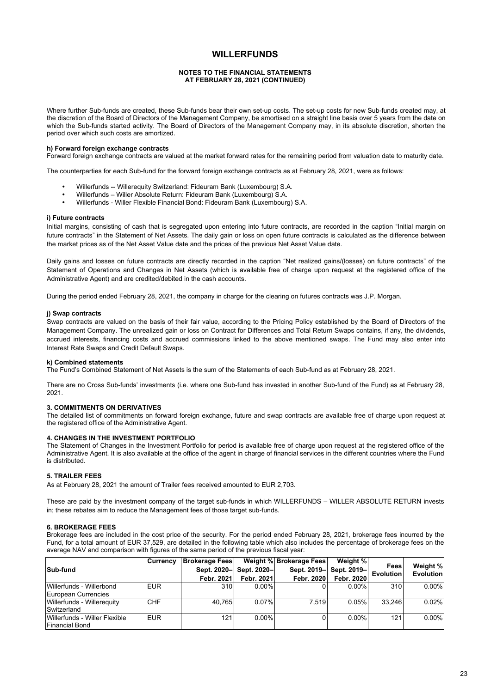#### **NOTES TO THE FINANCIAL STATEMENTS AT FEBRUARY 28, 2021 (CONTINUED)**

Where further Sub-funds are created, these Sub-funds bear their own set-up costs. The set-up costs for new Sub-funds created may, at the discretion of the Board of Directors of the Management Company, be amortised on a straight line basis over 5 years from the date on which the Sub-funds started activity. The Board of Directors of the Management Company may, in its absolute discretion, shorten the period over which such costs are amortized.

#### **h) Forward foreign exchange contracts**

Forward foreign exchange contracts are valued at the market forward rates for the remaining period from valuation date to maturity date.

The counterparties for each Sub-fund for the forward foreign exchange contracts as at February 28, 2021, were as follows:

- Willerfunds -- Willerequity Switzerland: Fideuram Bank (Luxembourg) S.A.
- Willerfunds Willer Absolute Return: Fideuram Bank (Luxembourg) S.A.
- Willerfunds Willer Flexible Financial Bond: Fideuram Bank (Luxembourg) S.A.

#### **i) Future contracts**

Initial margins, consisting of cash that is segregated upon entering into future contracts, are recorded in the caption "Initial margin on future contracts" in the Statement of Net Assets. The daily gain or loss on open future contracts is calculated as the difference between the market prices as of the Net Asset Value date and the prices of the previous Net Asset Value date.

Daily gains and losses on future contracts are directly recorded in the caption "Net realized gains/(losses) on future contracts" of the Statement of Operations and Changes in Net Assets (which is available free of charge upon request at the registered office of the Administrative Agent) and are credited/debited in the cash accounts.

During the period ended February 28, 2021, the company in charge for the clearing on futures contracts was J.P. Morgan.

#### **j) Swap contracts**

Swap contracts are valued on the basis of their fair value, according to the Pricing Policy established by the Board of Directors of the Management Company. The unrealized gain or loss on Contract for Differences and Total Return Swaps contains, if any, the dividends, accrued interests, financing costs and accrued commissions linked to the above mentioned swaps. The Fund may also enter into Interest Rate Swaps and Credit Default Swaps.

#### **k) Combined statements**

The Fund's Combined Statement of Net Assets is the sum of the Statements of each Sub-fund as at February 28, 2021.

There are no Cross Sub-funds' investments (i.e. where one Sub-fund has invested in another Sub-fund of the Fund) as at February 28, 2021.

#### **3. COMMITMENTS ON DERIVATIVES**

The detailed list of commitments on forward foreign exchange, future and swap contracts are available free of charge upon request at the registered office of the Administrative Agent.

#### **4. CHANGES IN THE INVESTMENT PORTFOLIO**

The Statement of Changes in the Investment Portfolio for period is available free of charge upon request at the registered office of the Administrative Agent. It is also available at the office of the agent in charge of financial services in the different countries where the Fund is distributed.

#### **5. TRAILER FEES**

As at February 28, 2021 the amount of Trailer fees received amounted to EUR 2,703.

These are paid by the investment company of the target sub-funds in which WILLERFUNDS – WILLER ABSOLUTE RETURN invests in; these rebates aim to reduce the Management fees of those target sub-funds.

#### **6. BROKERAGE FEES**

Brokerage fees are included in the cost price of the security. For the period ended February 28, 2021, brokerage fees incurred by the Fund, for a total amount of EUR 37,529, are detailed in the following table which also includes the percentage of brokerage fees on the average NAV and comparison with figures of the same period of the previous fiscal year:

|                               | <b>Currency</b> | <b>Brokerage Fees</b> |              | Weight % Brokerage Fees | Weight %                |                   |                       |
|-------------------------------|-----------------|-----------------------|--------------|-------------------------|-------------------------|-------------------|-----------------------|
| Sub-fund                      |                 | Sept. 2020-           | Sept. 2020-l |                         | Sept. 2019- Sept. 2019- | Fees<br>Evolution | Weight %<br>Evolution |
|                               |                 | Febr. 2021            | Febr. 2021   | Febr. 2020              | Febr. 2020              |                   |                       |
| Willerfunds - Willerbond      | <b>EUR</b>      | 310                   | $0.00\%$     |                         | $0.00\%$                | 310               | $0.00\%$              |
| European Currencies           |                 |                       |              |                         |                         |                   |                       |
| Willerfunds - Willereauitv    | <b>CHF</b>      | 40.765                | $0.07\%$     | 7.519                   | 0.05%                   | 33.246            | 0.02%                 |
| Switzerland                   |                 |                       |              |                         |                         |                   |                       |
| Willerfunds - Willer Flexible | <b>EUR</b>      | 121                   | $0.00\%$     |                         | $0.00\%$                | 121               | $0.00\%$              |
| lFinancial Bond               |                 |                       |              |                         |                         |                   |                       |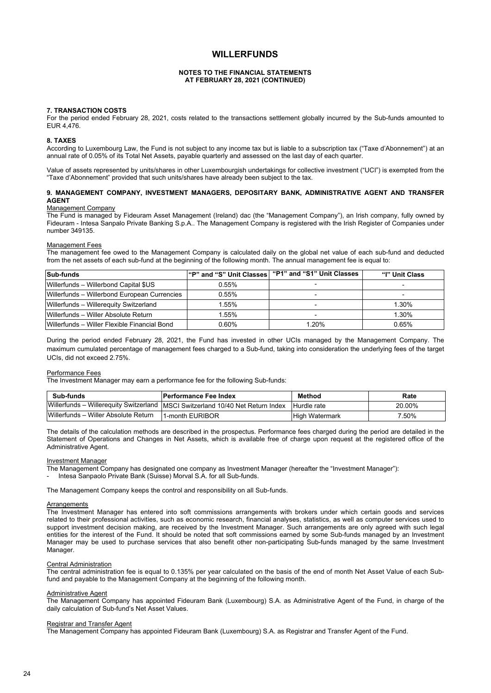#### **NOTES TO THE FINANCIAL STATEMENTS AT FEBRUARY 28, 2021 (CONTINUED)**

#### **7. TRANSACTION COSTS**

For the period ended February 28, 2021, costs related to the transactions settlement globally incurred by the Sub-funds amounted to EUR 4,476.

#### **8. TAXES**

According to Luxembourg Law, the Fund is not subject to any income tax but is liable to a subscription tax ("Taxe d'Abonnement") at an annual rate of 0.05% of its Total Net Assets, payable quarterly and assessed on the last day of each quarter.

Value of assets represented by units/shares in other Luxembourgish undertakings for collective investment ("UCI") is exempted from the "Taxe d'Abonnement" provided that such units/shares have already been subject to the tax.

#### **9. MANAGEMENT COMPANY, INVESTMENT MANAGERS, DEPOSITARY BANK, ADMINISTRATIVE AGENT AND TRANSFER AGENT**

#### Management Company

The Fund is managed by Fideuram Asset Management (Ireland) dac (the "Management Company"), an Irish company, fully owned by Fideuram - Intesa Sanpalo Private Banking S.p.A.. The Management Company is registered with the Irish Register of Companies under number 349135.

#### Management Fees

The management fee owed to the Management Company is calculated daily on the global net value of each sub-fund and deducted from the net assets of each sub-fund at the beginning of the following month. The annual management fee is equal to:

| Sub-funds                                    | "P" and "S" Unit Classes | "P1" and "S1" Unit Classes | "I" Unit Class |
|----------------------------------------------|--------------------------|----------------------------|----------------|
| Willerfunds - Willerbond Capital \$US        | 0.55%                    |                            |                |
| Willerfunds - Willerbond European Currencies | 0.55%                    |                            |                |
| Willerfunds - Willerequity Switzerland       | l.55%                    |                            | 1.30%          |
| Willerfunds - Willer Absolute Return         | 1.55%                    |                            | 1.30%          |
| Willerfunds – Willer Flexible Financial Bond | 0.60%                    | 1.20%                      | 0.65%          |

During the period ended February 28, 2021, the Fund has invested in other UCIs managed by the Management Company. The maximum cumulated percentage of management fees charged to a Sub-fund, taking into consideration the underlying fees of the target UCIs, did not exceed 2.75%.

#### Performance Fees

The Investment Manager may earn a performance fee for the following Sub-funds:

| Sub-funds                            | <b>IPerformance Fee Index</b>                                                    | Method                | Rate   |
|--------------------------------------|----------------------------------------------------------------------------------|-----------------------|--------|
|                                      | Willerfunds - Willerequity Switzerland   MSCI Switzerland 10/40 Net Return Index | Hurdle rate           | 20.00% |
| Willerfunds – Willer Absolute Return | 1-month EURIBOR                                                                  | <b>High Watermark</b> | 7.50%  |

The details of the calculation methods are described in the prospectus. Performance fees charged during the period are detailed in the Statement of Operations and Changes in Net Assets, which is available free of charge upon request at the registered office of the Administrative Agent.

#### Investment Manager

The Management Company has designated one company as Investment Manager (hereafter the "Investment Manager"):

- Intesa Sanpaolo Private Bank (Suisse) Morval S.A. for all Sub-funds.

The Management Company keeps the control and responsibility on all Sub-funds.

#### **Arrangements**

The Investment Manager has entered into soft commissions arrangements with brokers under which certain goods and services related to their professional activities, such as economic research, financial analyses, statistics, as well as computer services used to support investment decision making, are received by the Investment Manager. Such arrangements are only agreed with such legal entities for the interest of the Fund. It should be noted that soft commissions earned by some Sub-funds managed by an Investment Manager may be used to purchase services that also benefit other non-participating Sub-funds managed by the same Investment Manager.

#### Central Administration

The central administration fee is equal to 0.135% per year calculated on the basis of the end of month Net Asset Value of each Subfund and payable to the Management Company at the beginning of the following month.

#### Administrative Agent

The Management Company has appointed Fideuram Bank (Luxembourg) S.A. as Administrative Agent of the Fund, in charge of the daily calculation of Sub-fund's Net Asset Values.

#### Registrar and Transfer Agent

The Management Company has appointed Fideuram Bank (Luxembourg) S.A. as Registrar and Transfer Agent of the Fund.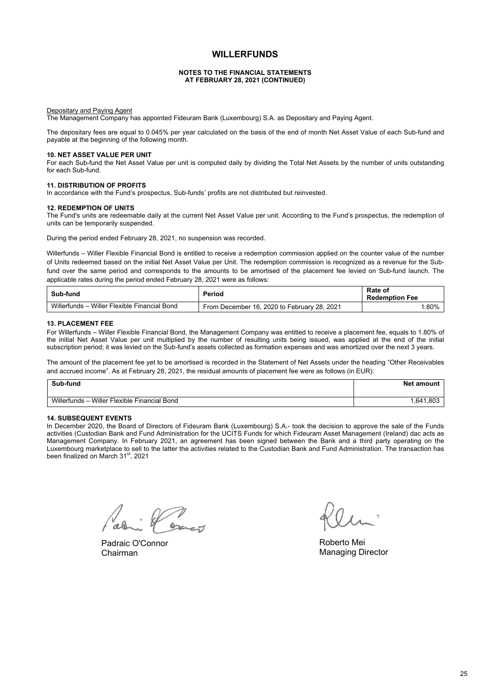#### **NOTES TO THE FINANCIAL STATEMENTS AT FEBRUARY 28, 2021 (CONTINUED)**

Depositary and Paying Agent

The Management Company has appointed Fideuram Bank (Luxembourg) S.A. as Depositary and Paying Agent.

The depositary fees are equal to 0.045% per year calculated on the basis of the end of month Net Asset Value of each Sub-fund and payable at the beginning of the following month.

#### **10. NET ASSET VALUE PER UNIT**

For each Sub-fund the Net Asset Value per unit is computed daily by dividing the Total Net Assets by the number of units outstanding for each Sub-fund.

#### **11. DISTRIBUTION OF PROFITS**

In accordance with the Fund's prospectus, Sub-funds' profits are not distributed but reinvested.

#### **12. REDEMPTION OF UNITS**

The Fund's units are redeemable daily at the current Net Asset Value per unit. According to the Fund's prospectus, the redemption of units can be temporarily suspended.

During the period ended February 28, 2021, no suspension was recorded.

Willerfunds – Willer Flexible Financial Bond is entitled to receive a redemption commission applied on the counter value of the number of Units redeemed based on the initial Net Asset Value per Unit. The redemption commission is recognized as a revenue for the Subfund over the same period and corresponds to the amounts to be amortised of the placement fee levied on Sub-fund launch. The applicable rates during the period ended February 28, 2021 were as follows:

| Sub-fund                                         | Period                                      | Rate of<br><b>Redemption Fee</b> |
|--------------------------------------------------|---------------------------------------------|----------------------------------|
| Willerfunds-<br>- Willer Flexible Financial Bond | From December 16, 2020 to February 28, 2021 | .80%                             |

#### **13. PLACEMENT FEE**

For Willerfunds – Willer Flexible Financial Bond, the Management Company was entitled to receive a placement fee, equals to 1.80% of the initial Net Asset Value per unit multiplied by the number of resulting units being issued, was applied at the end of the initial subscription period; it was levied on the Sub-fund's assets collected as formation expenses and was amortized over the next 3 years.

The amount of the placement fee yet to be amortised is recorded in the Statement of Net Assets under the heading "Other Receivables and accrued income". As at February 28, 2021, the residual amounts of placement fee were as follows (in EUR):

| Sub-fund                                         | <b>Net amount</b> |
|--------------------------------------------------|-------------------|
| Willerfunds-<br>- Willer Flexible Financial Bond | 641,803           |

#### **14. SUBSEQUENT EVENTS**

In December 2020, the Board of Directors of Fideuram Bank (Luxembourg) S.A.- took the decision to approve the sale of the Funds activities (Custodian Bank and Fund Administration for the UCITS Funds for which Fideuram Asset Management (Ireland) dac acts as Management Company. In February 2021, an agreement has been signed between the Bank and a third party operating on the Luxembourg marketplace to sell to the latter the activities related to the Custodian Bank and Fund Administration. The transaction has been finalized on March 31<sup>st</sup>, 2021

i Posset

Padraic O'Connor Chairman

Roberto Mei Managing Director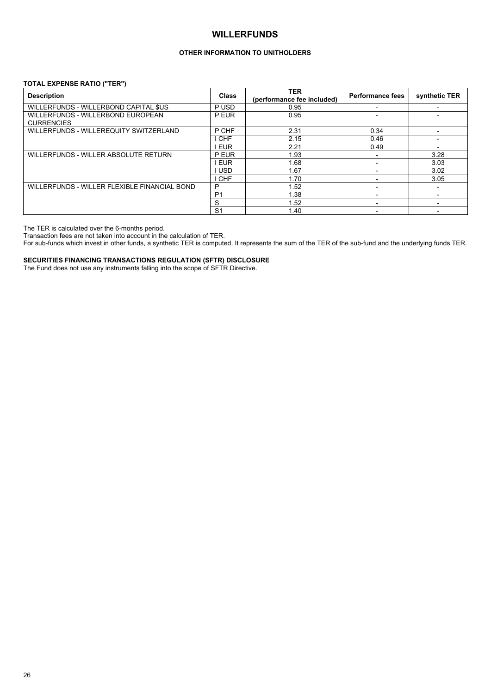### **OTHER INFORMATION TO UNITHOLDERS**

#### **TOTAL EXPENSE RATIO ("TER")**

| <b>Description</b>                                     | <b>Class</b>   | <b>TER</b><br>(performance fee included) | <b>Performance fees</b>  | synthetic TER |
|--------------------------------------------------------|----------------|------------------------------------------|--------------------------|---------------|
| WILLERFUNDS - WILLERBOND CAPITAL \$US                  | P USD          | 0.95                                     |                          |               |
| WILLERFUNDS - WILLERBOND EUROPEAN<br><b>CURRENCIES</b> | P EUR          | 0.95                                     |                          |               |
| WILLERFUNDS - WILLEREQUITY SWITZERLAND                 | P CHF          | 2.31                                     | 0.34                     |               |
|                                                        | <b>CHF</b>     | 2.15                                     | 0.46                     |               |
|                                                        | <b>EUR</b>     | 2.21                                     | 0.49                     |               |
| WILLERFUNDS - WILLER ABSOLUTE RETURN                   | P EUR          | 1.93                                     |                          | 3.28          |
|                                                        | <b>EUR</b>     | 1.68                                     |                          | 3.03          |
|                                                        | <b>USD</b>     | 1.67                                     |                          | 3.02          |
|                                                        | <b>CHF</b>     | 1.70                                     |                          | 3.05          |
| WILLERFUNDS - WILLER FLEXIBLE FINANCIAL BOND           | P              | 1.52                                     | $\overline{\phantom{a}}$ |               |
|                                                        | P <sub>1</sub> | 1.38                                     | $\overline{\phantom{a}}$ |               |
|                                                        | S              | 1.52                                     |                          |               |
|                                                        | S <sub>1</sub> | 1.40                                     |                          |               |

The TER is calculated over the 6-months period.

Transaction fees are not taken into account in the calculation of TER.

For sub-funds which invest in other funds, a synthetic TER is computed. It represents the sum of the TER of the sub-fund and the underlying funds TER.

**SECURITIES FINANCING TRANSACTIONS REGULATION (SFTR) DISCLOSURE**

The Fund does not use any instruments falling into the scope of SFTR Directive.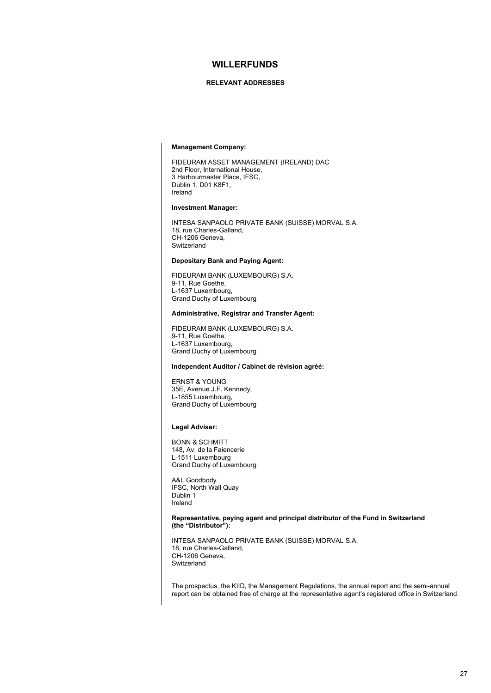#### **RELEVANT ADDRESSES**

#### **Management Company:**

FIDEURAM ASSET MANAGEMENT (IRELAND) DAC 2nd Floor, International House, 3 Harbourmaster Place, IFSC, Dublin 1, D01 K8F1, Ireland

#### **Investment Manager:**

INTESA SANPAOLO PRIVATE BANK (SUISSE) MORVAL S.A. 18, rue Charles-Galland, CH-1206 Geneva, **Switzerland** 

#### **Depositary Bank and Paying Agent:**

FIDEURAM BANK (LUXEMBOURG) S.A. 9-11, Rue Goethe, L-1637 Luxembourg, Grand Duchy of Luxembourg

#### **Administrative, Registrar and Transfer Agent:**

FIDEURAM BANK (LUXEMBOURG) S.A. 9-11, Rue Goethe, L-1637 Luxembourg, Grand Duchy of Luxembourg

#### **Independent Auditor / Cabinet de révision agréé:**

ERNST & YOUNG 35E, Avenue J.F. Kennedy, L-1855 Luxembourg, Grand Duchy of Luxembourg

#### **Legal Adviser:**

BONN & SCHMITT 148, Av. de la Faiencerie L-1511 Luxembourg Grand Duchy of Luxembourg

A&L Goodbody IFSC, North Wall Quay Dublin 1 Ireland

#### **Representative, paying agent and principal distributor of the Fund in Switzerland (the "Distributor"):**

INTESA SANPAOLO PRIVATE BANK (SUISSE) MORVAL S.A. 18, rue Charles-Galland CH-1206 Geneva, Switzerland

The prospectus, the KIID, the Management Regulations, the annual report and the semi-annual report can be obtained free of charge at the representative agent's registered office in Switzerland.